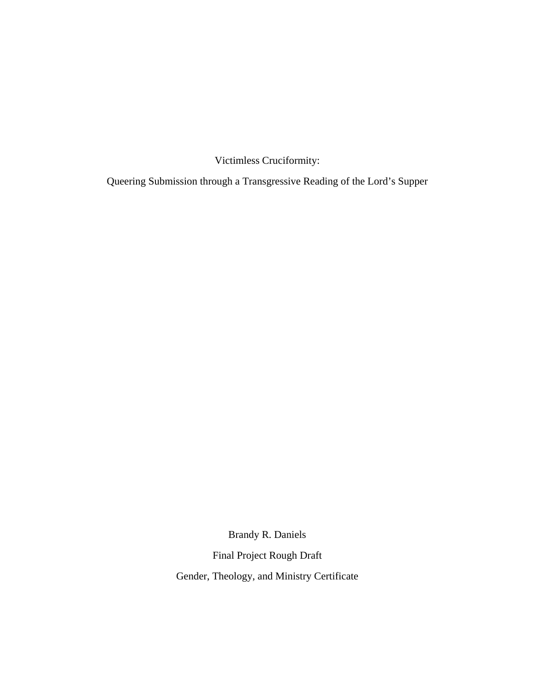Victimless Cruciformity:

Queering Submission through a Transgressive Reading of the Lord's Supper

Brandy R. Daniels

Final Project Rough Draft

Gender, Theology, and Ministry Certificate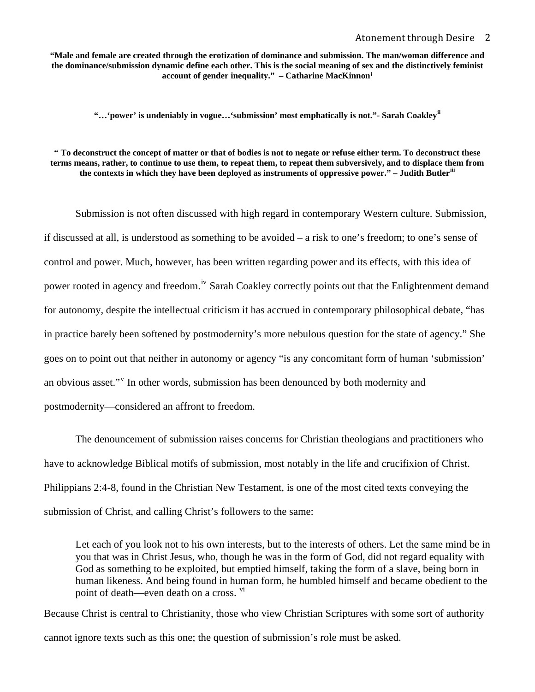**"Male and female are created through the erotization of dominance and submission. The man/woman difference and the dominance/submission dynamic define each other. This is the social meaning of sex and the distinctively feminist account of gender inequality." – Catharine MacKinnon[i](#page-30-0)**

**"…'power' is undeniably in vogue…'submission' most emphatically is not."- Sarah Coakley[ii](#page-31-0)**

**" To deconstruct the concept of matter or that of bodies is not to negate or refuse either term. To deconstruct these terms means, rather, to continue to use them, to repeat them, to repeat them subversively, and to displace them from the contexts in which they have been deployed as instruments of oppressive power." – Judith Butler[iii](#page-31-0)**

Submission is not often discussed with high regard in contemporary Western culture. Submission, if discussed at all, is understood as something to be avoided – a risk to one's freedom; to one's sense of control and power. Much, however, has been written regarding power and its effects, with this idea of power rooted in agency and freedom.<sup>[iv](#page-31-0)</sup> Sarah Coakley correctly points out that the Enlightenment demand for autonomy, despite the intellectual criticism it has accrued in contemporary philosophical debate, "has in practice barely been softened by postmodernity's more nebulous question for the state of agency." She goes on to point out that neither in autonomy or agency "is any concomitant form of human 'submission' an ob[v](#page-31-0)ious asset."<sup>v</sup> In other words, submission has been denounced by both modernity and postmodernity—considered an affront to freedom.

The denouncement of submission raises concerns for Christian theologians and practitioners who have to acknowledge Biblical motifs of submission, most notably in the life and crucifixion of Christ. Philippians 2:4-8, found in the Christian New Testament, is one of the most cited texts conveying the submission of Christ, and calling Christ's followers to the same:

Let each of you look not to his own interests, but to the interests of others. Let the same mind be in you that was in Christ Jesus, who, though he was in the form of God, did not regard equality with God as something to be exploited, but emptied himself, taking the form of a slave, being born in human likeness. And being found in human form, he humbled himself and became obedient to the point of death—even death on a cross. <sup>[vi](#page-31-0)</sup>

Because Christ is central to Christianity, those who view Christian Scriptures with some sort of authority cannot ignore texts such as this one; the question of submission's role must be asked.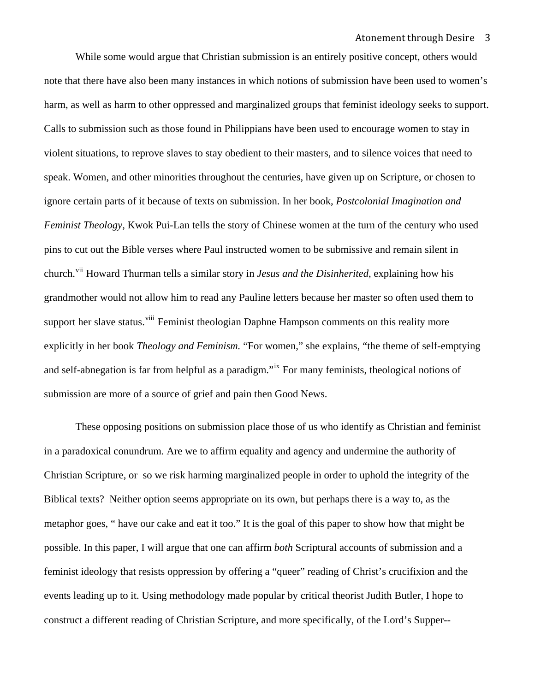While some would argue that Christian submission is an entirely positive concept, others would note that there have also been many instances in which notions of submission have been used to women's harm, as well as harm to other oppressed and marginalized groups that feminist ideology seeks to support. Calls to submission such as those found in Philippians have been used to encourage women to stay in violent situations, to reprove slaves to stay obedient to their masters, and to silence voices that need to speak. Women, and other minorities throughout the centuries, have given up on Scripture, or chosen to ignore certain parts of it because of texts on submission. In her book, *Postcolonial Imagination and Feminist Theology*, Kwok Pui-Lan tells the story of Chinese women at the turn of the century who used pins to cut out the Bible verses where Paul instructed women to be submissive and remain silent in church.<sup>[vii](#page-31-0)</sup> Howard Thurman tells a similar story in *Jesus and the Disinherited*, explaining how his grandmother would not allow him to read any Pauline letters because her master so often used them to support her slave status.<sup>[viii](#page-31-0)</sup> Feminist theologian Daphne Hampson comments on this reality more explicitly in her book *Theology and Feminism.* "For women," she explains, "the theme of self-emptying and self-abnegation is far from helpful as a paradigm."<sup>[ix](#page-31-0)</sup> For many feminists, theological notions of submission are more of a source of grief and pain then Good News.

These opposing positions on submission place those of us who identify as Christian and feminist in a paradoxical conundrum. Are we to affirm equality and agency and undermine the authority of Christian Scripture, or so we risk harming marginalized people in order to uphold the integrity of the Biblical texts? Neither option seems appropriate on its own, but perhaps there is a way to, as the metaphor goes, " have our cake and eat it too." It is the goal of this paper to show how that might be possible. In this paper, I will argue that one can affirm *both* Scriptural accounts of submission and a feminist ideology that resists oppression by offering a "queer" reading of Christ's crucifixion and the events leading up to it. Using methodology made popular by critical theorist Judith Butler, I hope to construct a different reading of Christian Scripture, and more specifically, of the Lord's Supper--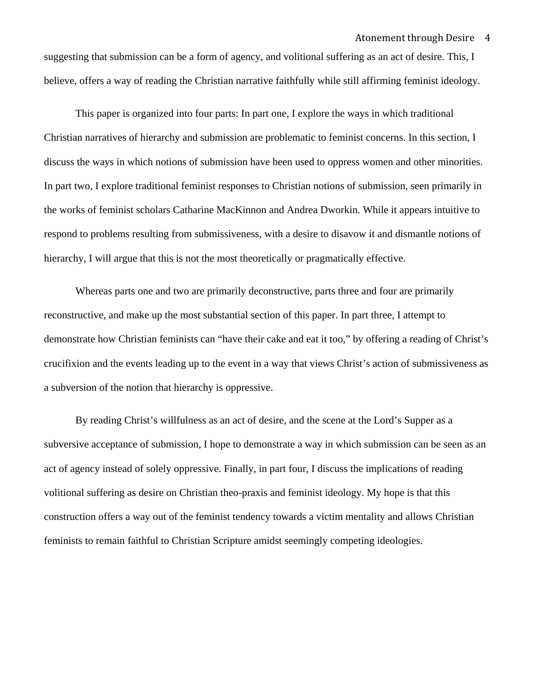suggesting that submission can be a form of agency, and volitional suffering as an act of desire. This, I believe, offers a way of reading the Christian narrative faithfully while still affirming feminist ideology.

This paper is organized into four parts: In part one, I explore the ways in which traditional Christian narratives of hierarchy and submission are problematic to feminist concerns. In this section, I discuss the ways in which notions of submission have been used to oppress women and other minorities. In part two, I explore traditional feminist responses to Christian notions of submission, seen primarily in the works of feminist scholars Catharine MacKinnon and Andrea Dworkin. While it appears intuitive to respond to problems resulting from submissiveness, with a desire to disavow it and dismantle notions of hierarchy, I will argue that this is not the most theoretically or pragmatically effective.

Whereas parts one and two are primarily deconstructive, parts three and four are primarily reconstructive, and make up the most substantial section of this paper. In part three, I attempt to demonstrate how Christian feminists can "have their cake and eat it too," by offering a reading of Christ's crucifixion and the events leading up to the event in a way that views Christ's action of submissiveness as a subversion of the notion that hierarchy is oppressive.

By reading Christ's willfulness as an act of desire, and the scene at the Lord's Supper as a subversive acceptance of submission, I hope to demonstrate a way in which submission can be seen as an act of agency instead of solely oppressive. Finally, in part four, I discuss the implications of reading volitional suffering as desire on Christian theo-praxis and feminist ideology. My hope is that this construction offers a way out of the feminist tendency towards a victim mentality and allows Christian feminists to remain faithful to Christian Scripture amidst seemingly competing ideologies.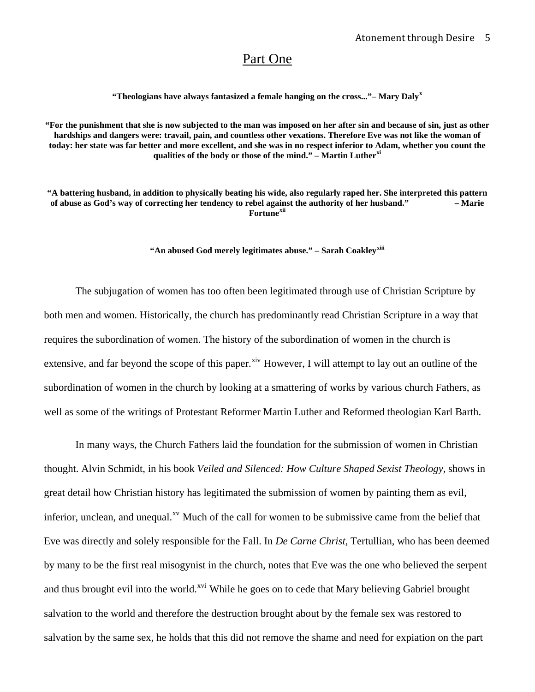# Part One

**"Theologians have always fantasized a female hanging on the cross..."– Mary Daly[x](#page-31-0)**

**"For the punishment that she is now subjected to the man was imposed on her after sin and because of sin, just as other**  hardships and dangers were: travail, pain, and countless other vexations. Therefore Eve was not like the woman of **today: her state was far better and more excellent, and she was in no respect inferior to Adam, whether you count the qualities of the body or those of the mind." – Martin Luther[xi](#page-31-0)**

**"A battering husband, in addition to physically beating his wide, also regularly raped her. She interpreted this pattern of abuse as God's way of correcting her tendency to rebel against the authority of her husband." – Marie Fortune[xii](#page-31-0)**

**"An abused God merely legitimates abuse." – Sarah Coakley[xiii](#page-31-0)**

 The subjugation of women has too often been legitimated through use of Christian Scripture by both men and women. Historically, the church has predominantly read Christian Scripture in a way that requires the subordination of women. The history of the subordination of women in the church is extensive, and far beyond the scope of this paper.<sup>[xiv](#page-31-0)</sup> However, I will attempt to lay out an outline of the subordination of women in the church by looking at a smattering of works by various church Fathers, as well as some of the writings of Protestant Reformer Martin Luther and Reformed theologian Karl Barth.

 In many ways, the Church Fathers laid the foundation for the submission of women in Christian thought. Alvin Schmidt, in his book *Veiled and Silenced: How Culture Shaped Sexist Theology,* shows in great detail how Christian history has legitimated the submission of women by painting them as evil, inferior, unclean, and unequal.<sup>[xv](#page-31-0)</sup> Much of the call for women to be submissive came from the belief that Eve was directly and solely responsible for the Fall. In *De Carne Christ*, Tertullian, who has been deemed by many to be the first real misogynist in the church, notes that Eve was the one who believed the serpent and thus brought evil into the world.<sup>[xvi](#page-31-0)</sup> While he goes on to cede that Mary believing Gabriel brought salvation to the world and therefore the destruction brought about by the female sex was restored to salvation by the same sex, he holds that this did not remove the shame and need for expiation on the part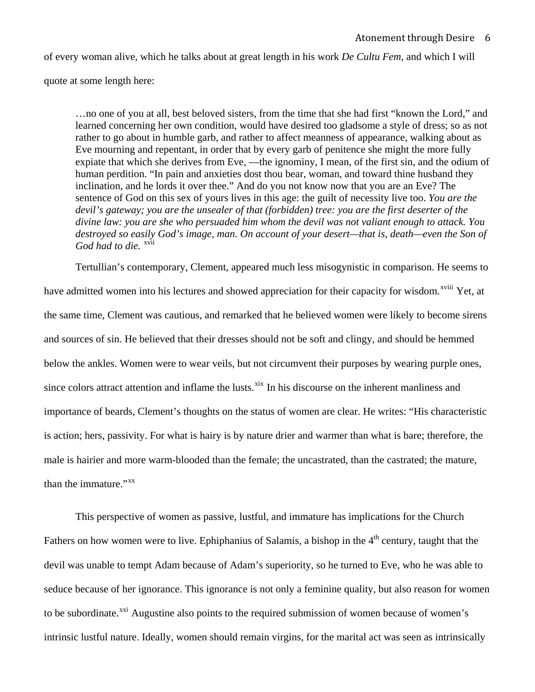of every woman alive, which he talks about at great length in his work *De Cultu Fem,* and which I will

quote at some length here:

…no one of you at all, best beloved sisters, from the time that she had first "known the Lord," and learned concerning her own condition, would have desired too gladsome a style of dress; so as not rather to go about in humble garb, and rather to affect meanness of appearance, walking about as Eve mourning and repentant, in order that by every garb of penitence she might the more fully expiate that which she derives from Eve, —the ignominy, I mean, of the first sin, and the odium of human perdition. "In pain and anxieties dost thou bear, woman, and toward thine husband they inclination, and he lords it over thee." And do you not know now that you are an Eve? The sentence of God on this sex of yours lives in this age: the guilt of necessity live too. *You are the devil's gateway; you are the unsealer of that (forbidden) tree: you are the first deserter of the divine law: you are she who persuaded him whom the devil was not valiant enough to attack. You destroyed so easily God's image, man. On account of your desert—that is, death—even the Son of*  God had to die. <sup>[xvii](#page-31-0)</sup>

 Tertullian's contemporary, Clement, appeared much less misogynistic in comparison. He seems to have admitted women into his lectures and showed appreciation for their capacity for wisdom.<sup>[xviii](#page-31-0)</sup> Yet, at the same time, Clement was cautious, and remarked that he believed women were likely to become sirens and sources of sin. He believed that their dresses should not be soft and clingy, and should be hemmed below the ankles. Women were to wear veils, but not circumvent their purposes by wearing purple ones, since colors attract attention and inflame the lusts.<sup>[xix](#page-31-0)</sup> In his discourse on the inherent manliness and importance of beards, Clement's thoughts on the status of women are clear. He writes: "His characteristic is action; hers, passivity. For what is hairy is by nature drier and warmer than what is bare; therefore, the male is hairier and more warm-blooded than the female; the uncastrated, than the castrated; the mature, than the immature."<sup>[xx](#page-31-0)</sup>

 This perspective of women as passive, lustful, and immature has implications for the Church Fathers on how women were to live. Ephiphanius of Salamis, a bishop in the  $4<sup>th</sup>$  century, taught that the devil was unable to tempt Adam because of Adam's superiority, so he turned to Eve, who he was able to seduce because of her ignorance. This ignorance is not only a feminine quality, but also reason for women to be subordinate.<sup>[xxi](#page-31-0)</sup> Augustine also points to the required submission of women because of women's intrinsic lustful nature. Ideally, women should remain virgins, for the marital act was seen as intrinsically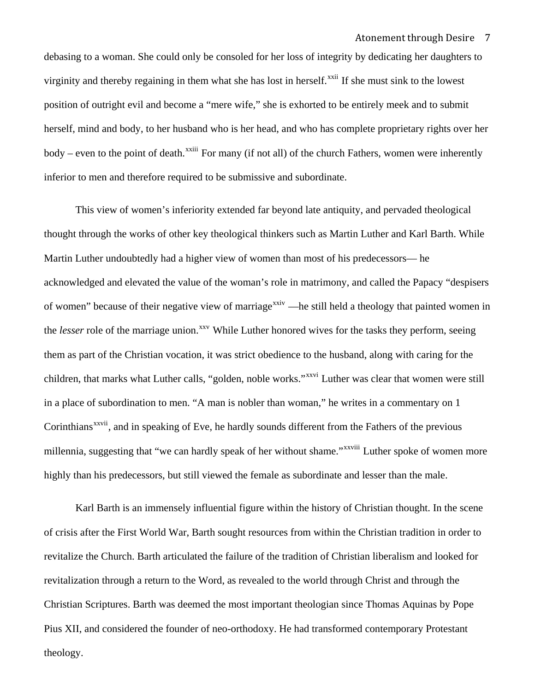debasing to a woman. She could only be consoled for her loss of integrity by dedicating her daughters to virginity and thereby regaining in them what she has lost in herself.<sup>[xxii](#page-31-0)</sup> If she must sink to the lowest position of outright evil and become a "mere wife," she is exhorted to be entirely meek and to submit herself, mind and body, to her husband who is her head, and who has complete proprietary rights over her body – even to the point of death.<sup>[xxiii](#page-31-0)</sup> For many (if not all) of the church Fathers, women were inherently inferior to men and therefore required to be submissive and subordinate.

 This view of women's inferiority extended far beyond late antiquity, and pervaded theological thought through the works of other key theological thinkers such as Martin Luther and Karl Barth. While Martin Luther undoubtedly had a higher view of women than most of his predecessors— he acknowledged and elevated the value of the woman's role in matrimony, and called the Papacy "despisers of women" because of their negative view of marriage<sup> $xxiv$ </sup>—he still held a theology that painted women in the *lesser* role of the marriage union.<sup>[xxv](#page-31-0)</sup> While Luther honored wives for the tasks they perform, seeing them as part of the Christian vocation, it was strict obedience to the husband, along with caring for the children, that marks what Luther calls, "golden, noble works."<sup>[xxvi](#page-32-0)</sup> Luther was clear that women were still in a place of subordination to men. "A man is nobler than woman," he writes in a commentary on 1 Corinthians<sup>[xxvii](#page-32-0)</sup>, and in speaking of Eve, he hardly sounds different from the Fathers of the previous millennia, suggesting that "we can hardly speak of her without shame."<sup>[xxviii](#page-32-0)</sup> Luther spoke of women more highly than his predecessors, but still viewed the female as subordinate and lesser than the male.

 Karl Barth is an immensely influential figure within the history of Christian thought. In the scene of crisis after the First World War, Barth sought resources from within the Christian tradition in order to revitalize the Church. Barth articulated the failure of the tradition of Christian liberalism and looked for revitalization through a return to the Word, as revealed to the world through Christ and through the Christian Scriptures. Barth was deemed the most important theologian since Thomas Aquinas by Pope Pius XII, and considered the founder of neo-orthodoxy. He had transformed contemporary Protestant theology.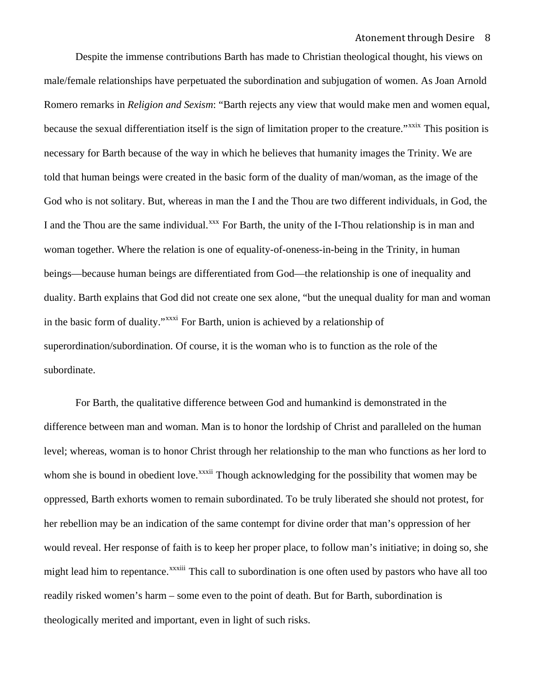Despite the immense contributions Barth has made to Christian theological thought, his views on male/female relationships have perpetuated the subordination and subjugation of women. As Joan Arnold Romero remarks in *Religion and Sexism*: "Barth rejects any view that would make men and women equal, because the sexual differentiation itself is the sign of limitation proper to the creature."<sup>[xxix](#page-32-0)</sup> This position is necessary for Barth because of the way in which he believes that humanity images the Trinity. We are told that human beings were created in the basic form of the duality of man/woman, as the image of the God who is not solitary. But, whereas in man the I and the Thou are two different individuals, in God, the I and the Thou are the same individual.<sup>[xxx](#page-32-0)</sup> For Barth, the unity of the I-Thou relationship is in man and woman together. Where the relation is one of equality-of-oneness-in-being in the Trinity, in human beings—because human beings are differentiated from God—the relationship is one of inequality and duality. Barth explains that God did not create one sex alone, "but the unequal duality for man and woman in the basic form of duality."[xxxi](#page-32-0) For Barth, union is achieved by a relationship of superordination/subordination. Of course, it is the woman who is to function as the role of the subordinate.

 For Barth, the qualitative difference between God and humankind is demonstrated in the difference between man and woman. Man is to honor the lordship of Christ and paralleled on the human level; whereas, woman is to honor Christ through her relationship to the man who functions as her lord to whom she is bound in obedient love.<sup>[xxxii](#page-32-0)</sup> Though acknowledging for the possibility that women may be oppressed, Barth exhorts women to remain subordinated. To be truly liberated she should not protest, for her rebellion may be an indication of the same contempt for divine order that man's oppression of her would reveal. Her response of faith is to keep her proper place, to follow man's initiative; in doing so, she might lead him to repentance.<sup>[xxxiii](#page-32-0)</sup> This call to subordination is one often used by pastors who have all too readily risked women's harm – some even to the point of death. But for Barth, subordination is theologically merited and important, even in light of such risks.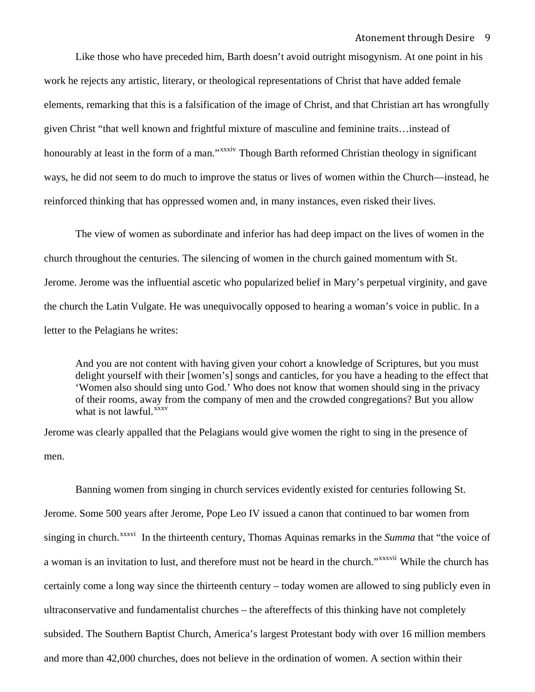Like those who have preceded him, Barth doesn't avoid outright misogynism. At one point in his work he rejects any artistic, literary, or theological representations of Christ that have added female elements, remarking that this is a falsification of the image of Christ, and that Christian art has wrongfully given Christ "that well known and frightful mixture of masculine and feminine traits…instead of honourably at least in the form of a man."<sup>x[xxxiv](#page-32-0)</sup> Though Barth reformed Christian theology in significant ways, he did not seem to do much to improve the status or lives of women within the Church—instead, he reinforced thinking that has oppressed women and, in many instances, even risked their lives.

The view of women as subordinate and inferior has had deep impact on the lives of women in the church throughout the centuries. The silencing of women in the church gained momentum with St. Jerome. Jerome was the influential ascetic who popularized belief in Mary's perpetual virginity, and gave the church the Latin Vulgate. He was unequivocally opposed to hearing a woman's voice in public. In a letter to the Pelagians he writes:

And you are not content with having given your cohort a knowledge of Scriptures, but you must delight yourself with their [women's] songs and canticles, for you have a heading to the effect that 'Women also should sing unto God.' Who does not know that women should sing in the privacy of their rooms, away from the company of men and the crowded congregations? But you allow what is not lawful. $\frac{xxxx}{}$ 

Jerome was clearly appalled that the Pelagians would give women the right to sing in the presence of men.

 Banning women from singing in church services evidently existed for centuries following St. Jerome. Some 500 years after Jerome, Pope Leo IV issued a canon that continued to bar women from singing in church.<sup>[xxxvi](#page-32-0)</sup> In the thirteenth century, Thomas Aquinas remarks in the *Summa* that "the voice of a woman is an invitation to lust, and therefore must not be heard in the church."<sup>[xxxvii](#page-32-0)</sup> While the church has certainly come a long way since the thirteenth century – today women are allowed to sing publicly even in ultraconservative and fundamentalist churches – the aftereffects of this thinking have not completely subsided. The Southern Baptist Church, America's largest Protestant body with over 16 million members and more than 42,000 churches, does not believe in the ordination of women. A section within their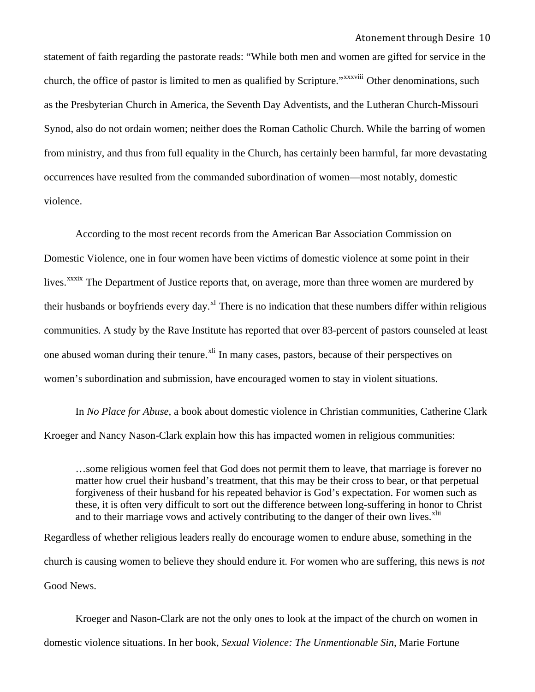as the Presbyterian Church in America, the Seventh Day Adventists, and the Lutheran Church-Missouri statement of faith regarding the pastorate reads: "While both men and women are gifted for service in the church, the office of pastor is limited to men as qualified by Scripture."<sup>x[xxxviii](#page-32-0)</sup> Other denominations, such Synod, also do not ordain women; neither does the Roman Catholic Church. While the barring of women from ministry, and thus from full equality in the Church, has certainly been harmful, far more devastating occurrences have resulted from the commanded subordination of women—most notably, domestic violence.

 According to the most recent records from the American Bar Association Commission on Domestic Violence, one in four women have been victims of domestic violence at some point in their lives.<sup>[xxxix](#page-32-0)</sup> The Department of Justice reports that, on average, more than three women are murdered by their husbands or boyfriends every day.<sup>[xl](#page-32-0)</sup> There is no indication that these numbers differ within religious communities. A study by the Rave Institute has reported that over 83-percent of pastors counseled at least one abused woman during their tenure.<sup>[xli](#page-32-0)</sup> In many cases, pastors, because of their perspectives on women's subordination and submission, have encouraged women to stay in violent situations.

In *No Place for Abuse,* a book about domestic violence in Christian communities, Catherine Clark Kroeger and Nancy Nason-Clark explain how this has impacted women in religious communities:

…some religious women feel that God does not permit them to leave, that marriage is forever no matter how cruel their husband's treatment, that this may be their cross to bear, or that perpetual forgiveness of their husband for his repeated behavior is God's expectation. For women such as these, it is often very difficult to sort out the difference between long-suffering in honor to Christ and to their marriage vows and actively contributing to the danger of their own lives.<sup>[xlii](#page-32-0)</sup>

Regardless of whether religious leaders really do encourage women to endure abuse, something in the church is causing women to believe they should endure it. For women who are suffering, this news is *not* Good News.

Kroeger and Nason-Clark are not the only ones to look at the impact of the church on women in domestic violence situations. In her book, *Sexual Violence: The Unmentionable Sin*, Marie Fortune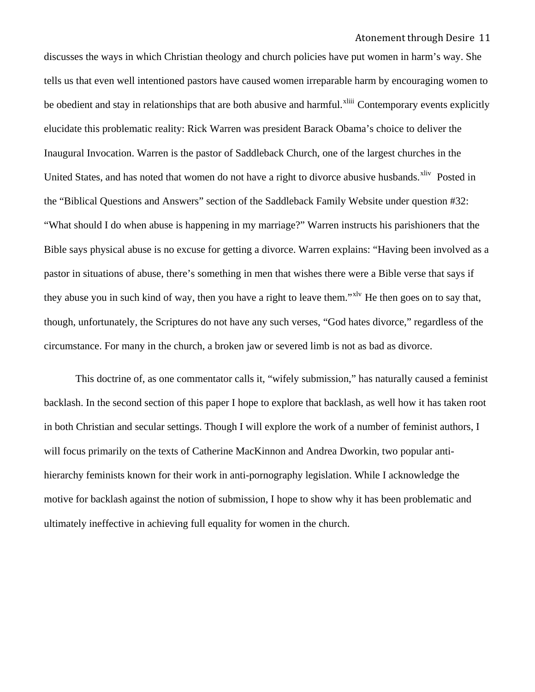Bible says physical abuse is no excuse for getting a divorce. Warren explains: "Having been involved as a discusses the ways in which Christian theology and church policies have put women in harm's way. She tells us that even well intentioned pastors have caused women irreparable harm by encouraging women to be obedient and stay in relationships that are both abusive and harmful.<sup>[xliii](#page-32-0)</sup> Contemporary events explicitly elucidate this problematic reality: Rick Warren was president Barack Obama's choice to deliver the Inaugural Invocation. Warren is the pastor of Saddleback Church, one of the largest churches in the United States, and has noted that women do not have a right to divorce abusive husbands.<sup>[xliv](#page-32-0)</sup> Posted in the "Biblical Questions and Answers" section of the Saddleback Family Website under question #32: "What should I do when abuse is happening in my marriage?" Warren instructs his parishioners that the pastor in situations of abuse, there's something in men that wishes there were a Bible verse that says if they abuse you in such kind of way, then you have a right to leave them."<sup>xly</sup> He then goes on to say that, though, unfortunately, the Scriptures do not have any such verses, "God hates divorce," regardless of the circumstance. For many in the church, a broken jaw or severed limb is not as bad as divorce.

This doctrine of, as one commentator calls it, "wifely submission," has naturally caused a feminist backlash. In the second section of this paper I hope to explore that backlash, as well how it has taken root in both Christian and secular settings. Though I will explore the work of a number of feminist authors, I will focus primarily on the texts of Catherine MacKinnon and Andrea Dworkin, two popular antihierarchy feminists known for their work in anti-pornography legislation. While I acknowledge the motive for backlash against the notion of submission, I hope to show why it has been problematic and ultimately ineffective in achieving full equality for women in the church.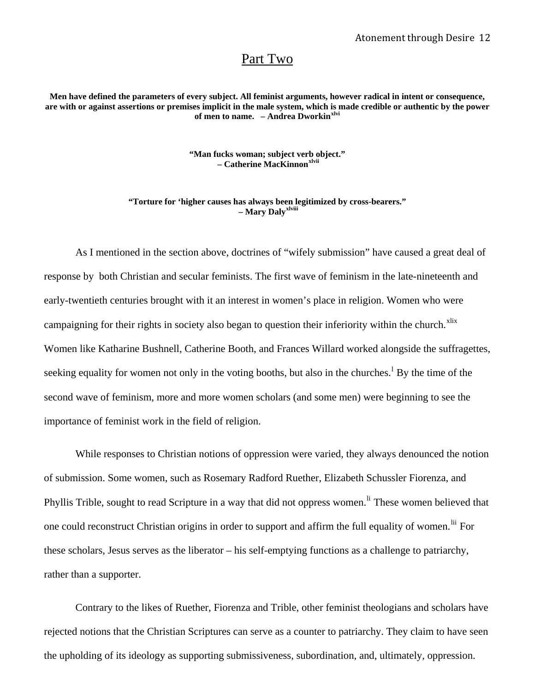## Part Two

**Men have defined the parameters of every subject. All feminist arguments, however radical in intent or consequence, are with or against assertions or premises implicit in the male system, which is made credible or authentic by the power of men to name. – Andrea Dworkin[xlvi](#page-32-0)**

> **"Man fucks woman; subject verb object." – Catherine MacKinnon[xlvii](#page-32-0)**

**"Torture for 'higher causes has always been legitimized by cross-bearers." – Mary Daly[xlviii](#page-32-0)**

As I mentioned in the section above, doctrines of "wifely submission" have caused a great deal of response by both Christian and secular feminists. The first wave of feminism in the late-nineteenth and early-twentieth centuries brought with it an interest in women's place in religion. Women who were campaigning for their rights in society also began to question their inferiority within the church. $x$ lix Women like Katharine Bushnell, Catherine Booth, and Frances Willard worked alongside the suffragettes, seeking equa[l](#page-32-0)ity for women not only in the voting booths, but also in the churches.<sup>1</sup> By the time of the second wave of feminism, more and more women scholars (and some men) were beginning to see the importance of feminist work in the field of religion.

While responses to Christian notions of oppression were varied, they always denounced the notion of submission. Some women, such as Rosemary Radford Ruether, Elizabeth Schussler Fiorenza, and Phyl[li](#page-32-0)s Trible, sought to read Scripture in a way that did not oppress women.<sup>If</sup> These women believed that one could reconstruct Christian origins in order to support and affirm the full equality of women. <sup>In</sup> For these scholars, Jesus serves as the liberator – his self-emptying functions as a challenge to patriarchy, rather than a supporter.

Contrary to the likes of Ruether, Fiorenza and Trible, other feminist theologians and scholars have rejected notions that the Christian Scriptures can serve as a counter to patriarchy. They claim to have seen the upholding of its ideology as supporting submissiveness, subordination, and, ultimately, oppression.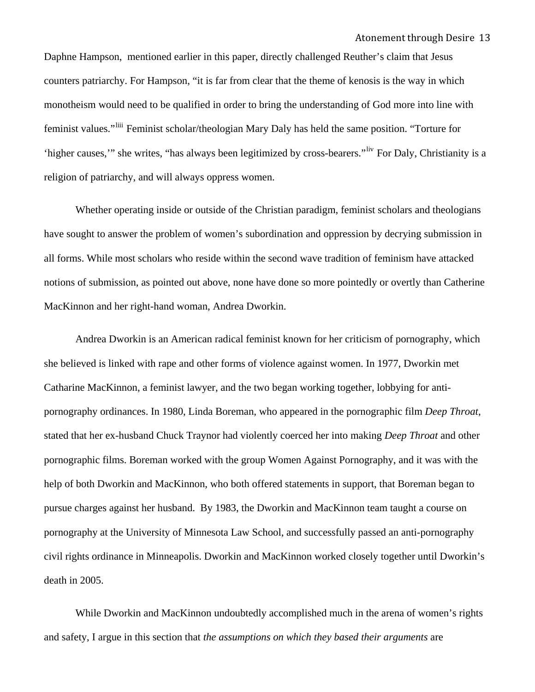Daphne Hampson, mentioned earlier in this paper, directly challenged Reuther's claim that Jesus counters patriarchy. For Hampson, "it is far from clear that the theme of kenosis is the way in which monotheism would need to be qualified in order to bring the understanding of God more into line with feminist values."[liii](#page-32-0) Feminist scholar/theologian Mary Daly has held the same position. "Torture for 'higher causes,'" she writes, "has always been legitimized by cross-bearers."[liv](#page-32-0) For Daly, Christianity is a religion of patriarchy, and will always oppress women.

 Whether operating inside or outside of the Christian paradigm, feminist scholars and theologians have sought to answer the problem of women's subordination and oppression by decrying submission in all forms. While most scholars who reside within the second wave tradition of feminism have attacked notions of submission, as pointed out above, none have done so more pointedly or overtly than Catherine MacKinnon and her right-hand woman, Andrea Dworkin.

Andrea Dworkin is an American radical feminist known for her criticism of pornography, which she believed is linked with rape and other forms of violence against women. In 1977, Dworkin met Catharine MacKinnon, a feminist lawyer, and the two began working together, lobbying for antipornography ordinances. In 1980, Linda Boreman, who appeared in the pornographic film *Deep Throat*, stated that her ex-husband Chuck Traynor had violently coerced her into making *Deep Throat* and other pornographic films. Boreman worked with the group Women Against Pornography, and it was with the help of both Dworkin and MacKinnon, who both offered statements in support, that Boreman began to pursue charges against her husband. By 1983, the Dworkin and MacKinnon team taught a course on pornography at the University of Minnesota Law School, and successfully passed an anti-pornography civil rights ordinance in Minneapolis. Dworkin and MacKinnon worked closely together until Dworkin's death in 2005.

While Dworkin and MacKinnon undoubtedly accomplished much in the arena of women's rights and safety, I argue in this section that *the assumptions on which they based their arguments* are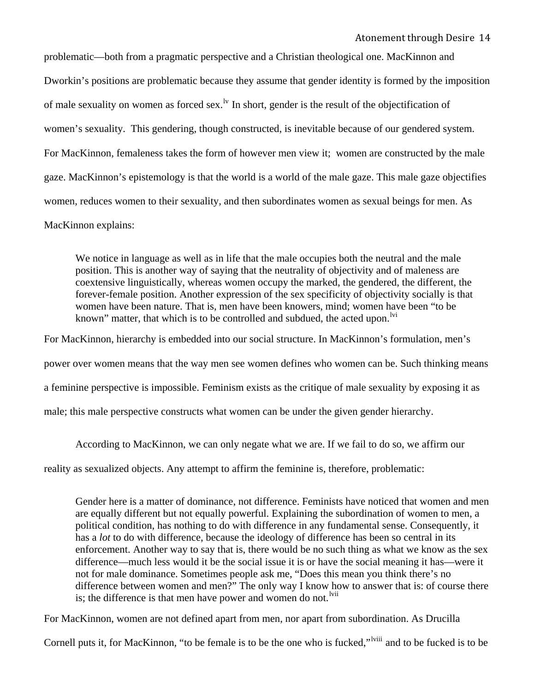women's sexuality. This gendering, though constructed, is inevitable because of our gendered system. For MacKinnon, femaleness takes the form of however men view it; women are constructed by the male problematic—both from a pragmatic perspective and a Christian theological one. MacKinnon and Dworkin's positions are problematic because they assume that gender identity is formed by the imposition of male sexuality on women as forced sex.<sup>1v</sup> In short, gender is the result of the objectification of gaze. MacKinnon's epistemology is that the world is a world of the male gaze. This male gaze objectifies women, reduces women to their sexuality, and then subordinates women as sexual beings for men. As MacKinnon explains:

We notice in language as well as in life that the male occupies both the neutral and the male position. This is another way of saying that the neutrality of objectivity and of maleness are coextensive linguistically, whereas women occupy the marked, the gendered, the different, the forever-female position. Another expression of the sex specificity of objectivity socially is that women have been nature. That is, men have been knowers, mind; women have been "to be known" matter, that which is to be controlled and subdued, the acted upon.<sup>Ivi</sup>

For MacKinnon, hierarchy is embedded into our social structure. In MacKinnon's formulation, men's

power over women means that the way men see women defines who women can be. Such thinking means

a feminine perspective is impossible. Feminism exists as the critique of male sexuality by exposing it as

male; this male perspective constructs what women can be under the given gender hierarchy.

According to MacKinnon, we can only negate what we are. If we fail to do so, we affirm our

reality as sexualized objects. Any attempt to affirm the feminine is, therefore, problematic:

Gender here is a matter of dominance, not difference. Feminists have noticed that women and men are equally different but not equally powerful. Explaining the subordination of women to men, a political condition, has nothing to do with difference in any fundamental sense. Consequently, it has a *lot* to do with difference, because the ideology of difference has been so central in its enforcement. Another way to say that is, there would be no such thing as what we know as the sex difference—much less would it be the social issue it is or have the social meaning it has—were it not for male dominance. Sometimes people ask me, "Does this mean you think there's no difference between women and men?" The only way I know how to answer that is: of course there is; the difference is that men have power and women do not. $^{1\text{vii}}$ 

For MacKinnon, women are not defined apart from men, nor apart from subordination. As Drucilla

Cornell puts it, for MacKinnon, "to be female is to be the one who is fucked,"<sup>Iviii</sup> and to be fucked is to be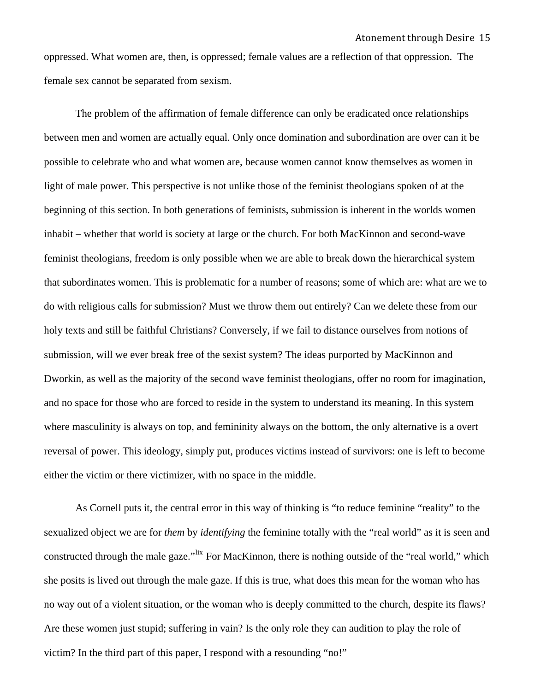oppressed. What women are, then, is oppressed; female values are a reflection of that oppression. The female sex cannot be separated from sexism.

The problem of the affirmation of female difference can only be eradicated once relationships between men and women are actually equal. Only once domination and subordination are over can it be possible to celebrate who and what women are, because women cannot know themselves as women in light of male power. This perspective is not unlike those of the feminist theologians spoken of at the beginning of this section. In both generations of feminists, submission is inherent in the worlds women inhabit – whether that world is society at large or the church. For both MacKinnon and second-wave feminist theologians, freedom is only possible when we are able to break down the hierarchical system that subordinates women. This is problematic for a number of reasons; some of which are: what are we to do with religious calls for submission? Must we throw them out entirely? Can we delete these from our holy texts and still be faithful Christians? Conversely, if we fail to distance ourselves from notions of submission, will we ever break free of the sexist system? The ideas purported by MacKinnon and Dworkin, as well as the majority of the second wave feminist theologians, offer no room for imagination, and no space for those who are forced to reside in the system to understand its meaning. In this system where masculinity is always on top, and femininity always on the bottom, the only alternative is a overt reversal of power. This ideology, simply put, produces victims instead of survivors: one is left to become either the victim or there victimizer, with no space in the middle.

As Cornell puts it, the central error in this way of thinking is "to reduce feminine "reality" to the sexualized object we are for *them* by *identifying* the feminine totally with the "real world" as it is seen and constructed through the male gaze."<sup>[lix](#page-33-0)</sup> For MacKinnon, there is nothing outside of the "real world," which she posits is lived out through the male gaze. If this is true, what does this mean for the woman who has no way out of a violent situation, or the woman who is deeply committed to the church, despite its flaws? Are these women just stupid; suffering in vain? Is the only role they can audition to play the role of victim? In the third part of this paper, I respond with a resounding "no!"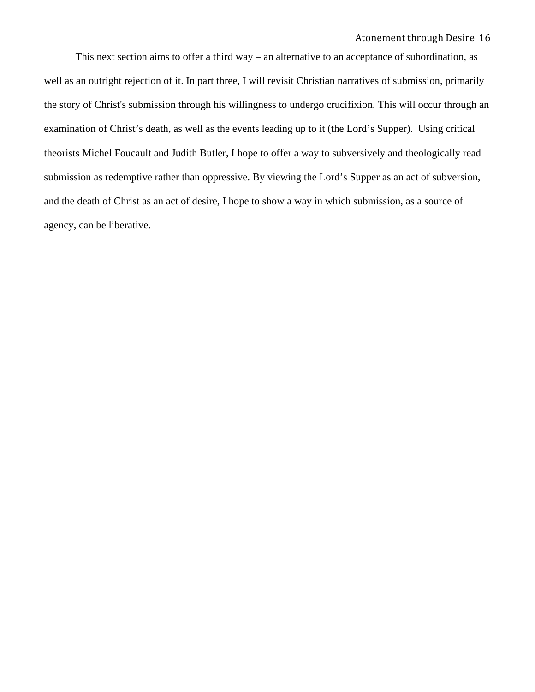This next section aims to offer a third way – an alternative to an acceptance of subordination, as well as an outright rejection of it. In part three, I will revisit Christian narratives of submission, primarily the story of Christ's submission through his willingness to undergo crucifixion. This will occur through an examination of Christ's death, as well as the events leading up to it (the Lord's Supper). Using critical theorists Michel Foucault and Judith Butler, I hope to offer a way to subversively and theologically read submission as redemptive rather than oppressive. By viewing the Lord's Supper as an act of subversion, and the death of Christ as an act of desire, I hope to show a way in which submission, as a source of agency, can be liberative.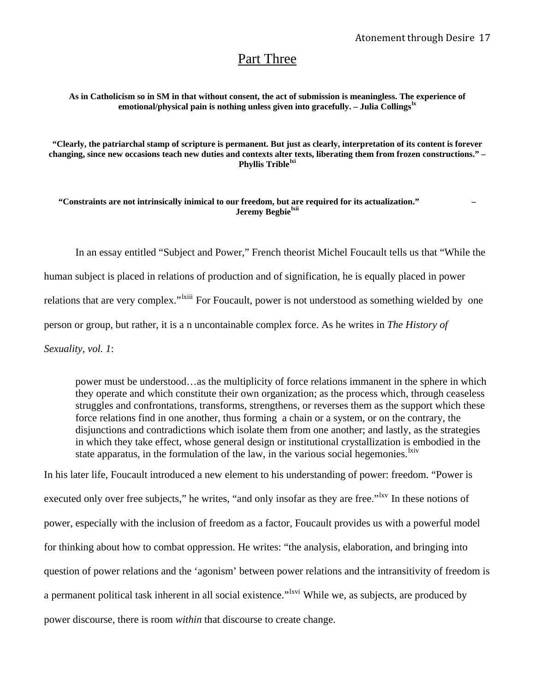# Part Three

**As in Catholicism so in SM in that without consent, the act of submission is meaningless. The experience of emotional/physical pain is nothing unless given into gracefully. – Julia Collings[lx](#page-33-0)**

**"Clearly, the patriarchal stamp of scripture is permanent. But just as clearly, interpretation of its content is forever changing, since new occasions teach new duties and contexts alter texts, liberating them from frozen constructions." – Phyllis Trible[lxi](#page-33-0)**

**"Constraints are not intrinsically inimical to our freedom, but are required for its actualization." – Jeremy Begbie[lxii](#page-33-0)**

In an essay entitled "Subject and Power," French theorist Michel Foucault tells us that "While the human subject is placed in relations of production and of signification, he is equally placed in power relations that are very complex."<sup>Ixiii</sup> For Foucault, power is not understood as something wielded by one person or group, but rather, it is a n uncontainable complex force. As he writes in *The History of Sexuality, vol. 1*:

power must be understood…as the multiplicity of force relations immanent in the sphere in which they operate and which constitute their own organization; as the process which, through ceaseless struggles and confrontations, transforms, strengthens, or reverses them as the support which these force relations find in one another, thus forming a chain or a system, or on the contrary, the disjunctions and contradictions which isolate them from one another; and lastly, as the strategies in which they take effect, whose general design or institutional crystallization is embodied in the state apparatus, in the formulation of the law, in the various social hegemonies.  $\frac{X}{X}$ 

In his later life, Foucault introduced a new element to his understanding of power: freedom. "Power is executed only over free subjects," he writes, "and only insofar as they are free."<sup>[lxv](#page-33-0)</sup> In these notions of power, especially with the inclusion of freedom as a factor, Foucault provides us with a powerful model for thinking about how to combat oppression. He writes: "the analysis, elaboration, and bringing into question of power relations and the 'agonism' between power relations and the intransitivity of freedom is a permanent political task inherent in all social existence."<sup>Ixvi</sup> While we, as subjects, are produced by power discourse, there is room *within* that discourse to create change.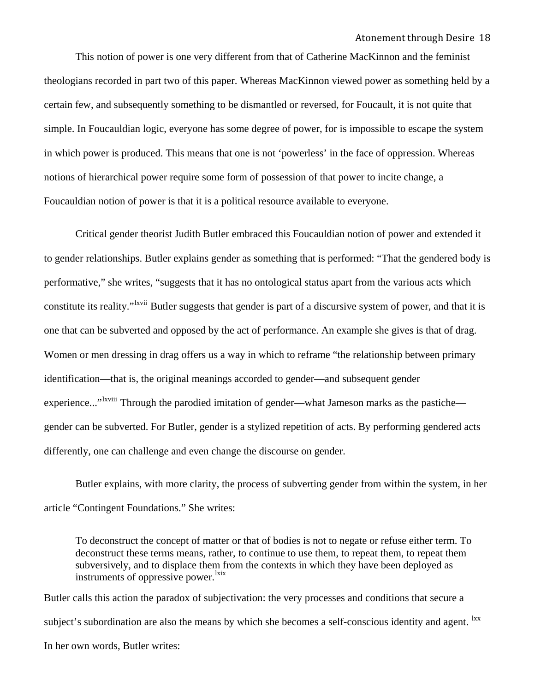This notion of power is one very different from that of Catherine MacKinnon and the feminist theologians recorded in part two of this paper. Whereas MacKinnon viewed power as something held by a certain few, and subsequently something to be dismantled or reversed, for Foucault, it is not quite that simple. In Foucauldian logic, everyone has some degree of power, for is impossible to escape the system in which power is produced. This means that one is not 'powerless' in the face of oppression. Whereas notions of hierarchical power require some form of possession of that power to incite change, a Foucauldian notion of power is that it is a political resource available to everyone.

Critical gender theorist Judith Butler embraced this Foucauldian notion of power and extended it to gender relationships. Butler explains gender as something that is performed: "That the gendered body is performative," she writes, "suggests that it has no ontological status apart from the various acts which constitute its reality."<sup>Ixvii</sup> Butler suggests that gender is part of a discursive system of power, and that it is one that can be subverted and opposed by the act of performance. An example she gives is that of drag. Women or men dressing in drag offers us a way in which to reframe "the relationship between primary identification—that is, the original meanings accorded to gender—and subsequent gender experience..."<sup>Ixviii</sup> Through the parodied imitation of gender—what Jameson marks as the pastiche gender can be subverted. For Butler, gender is a stylized repetition of acts. By performing gendered acts differently, one can challenge and even change the discourse on gender.

Butler explains, with more clarity, the process of subverting gender from within the system, in her article "Contingent Foundations." She writes:

To deconstruct the concept of matter or that of bodies is not to negate or refuse either term. To deconstruct these terms means, rather, to continue to use them, to repeat them, to repeat them subversively, and to displace them from the contexts in which they have been deployed as instruments of oppressive power.<sup>[lxix](#page-33-0)</sup>

Butler calls this action the paradox of subjectivation: the very processes and conditions that secure a subject's subordination are also the means by which she becomes a self-conscious identity and agent. <sup>[lxx](#page-33-0)</sup> In her own words, Butler writes: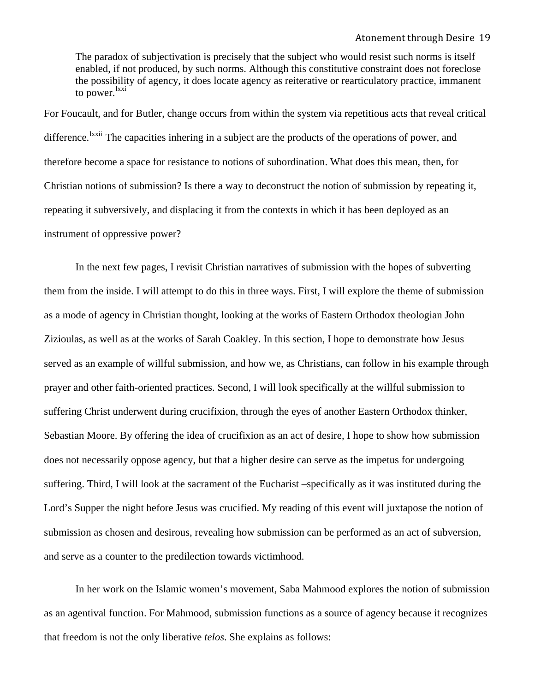The paradox of subjectivation is precisely that the subject who would resist such norms is itself enabled, if not produced, by such norms. Although this constitutive constraint does not foreclose the possibility of agency, it does locate agency as reiterative or rearticulatory practice, immanent to power.<sup>[lxxi](#page-33-0)</sup>

For Foucault, and for Butler, change occurs from within the system via repetitious acts that reveal critical difference.<sup>1xxii</sup> The capacities inhering in a subject are the products of the operations of power, and therefore become a space for resistance to notions of subordination. What does this mean, then, for Christian notions of submission? Is there a way to deconstruct the notion of submission by repeating it, repeating it subversively, and displacing it from the contexts in which it has been deployed as an instrument of oppressive power?

In the next few pages, I revisit Christian narratives of submission with the hopes of subverting them from the inside. I will attempt to do this in three ways. First, I will explore the theme of submission as a mode of agency in Christian thought, looking at the works of Eastern Orthodox theologian John Zizioulas, as well as at the works of Sarah Coakley. In this section, I hope to demonstrate how Jesus served as an example of willful submission, and how we, as Christians, can follow in his example through prayer and other faith-oriented practices. Second, I will look specifically at the willful submission to suffering Christ underwent during crucifixion, through the eyes of another Eastern Orthodox thinker, Sebastian Moore. By offering the idea of crucifixion as an act of desire, I hope to show how submission does not necessarily oppose agency, but that a higher desire can serve as the impetus for undergoing suffering. Third, I will look at the sacrament of the Eucharist –specifically as it was instituted during the Lord's Supper the night before Jesus was crucified. My reading of this event will juxtapose the notion of submission as chosen and desirous, revealing how submission can be performed as an act of subversion, and serve as a counter to the predilection towards victimhood.

In her work on the Islamic women's movement, Saba Mahmood explores the notion of submission as an agentival function. For Mahmood, submission functions as a source of agency because it recognizes that freedom is not the only liberative *telos*. She explains as follows: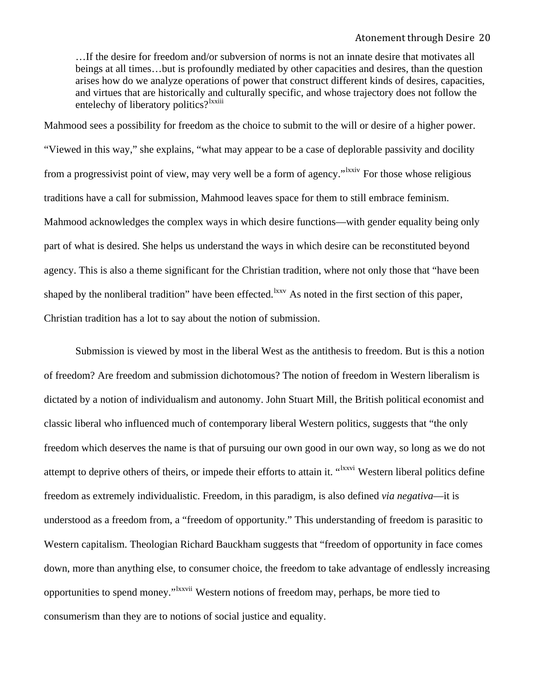…If the desire for freedom and/or subversion of norms is not an innate desire that motivates all beings at all times…but is profoundly mediated by other capacities and desires, than the question arises how do we analyze operations of power that construct different kinds of desires, capacities, and virtues that are historically and culturally specific, and whose trajectory does not follow the entelechy of liberatory politics?<sup>[lxxiii](#page-33-0)</sup>

Mahmood sees a possibility for freedom as the choice to submit to the will or desire of a higher power. "Viewed in this way," she explains, "what may appear to be a case of deplorable passivity and docility from a progressivist point of view, may very well be a form of agency."<sup>Ixxiv</sup> For those whose religious traditions have a call for submission, Mahmood leaves space for them to still embrace feminism. Mahmood acknowledges the complex ways in which desire functions—with gender equality being only part of what is desired. She helps us understand the ways in which desire can be reconstituted beyond agency. This is also a theme significant for the Christian tradition, where not only those that "have been shaped by the nonliberal tradition" have been effected.<sup>[lxxv](#page-33-0)</sup> As noted in the first section of this paper, Christian tradition has a lot to say about the notion of submission.

 Submission is viewed by most in the liberal West as the antithesis to freedom. But is this a notion of freedom? Are freedom and submission dichotomous? The notion of freedom in Western liberalism is dictated by a notion of individualism and autonomy. John Stuart Mill, the British political economist and classic liberal who influenced much of contemporary liberal Western politics, suggests that "the only freedom which deserves the name is that of pursuing our own good in our own way, so long as we do not attempt to deprive others of theirs, or impede their efforts to attain it. "<sup>[lxxvi](#page-33-0)</sup> Western liberal politics define freedom as extremely individualistic. Freedom, in this paradigm, is also defined *via negativa*—it is understood as a freedom from, a "freedom of opportunity." This understanding of freedom is parasitic to Western capitalism. Theologian Richard Bauckham suggests that "freedom of opportunity in face comes down, more than anything else, to consumer choice, the freedom to take advantage of endlessly increasing opportunities to spend money."[lxxvii](#page-33-0) Western notions of freedom may, perhaps, be more tied to consumerism than they are to notions of social justice and equality.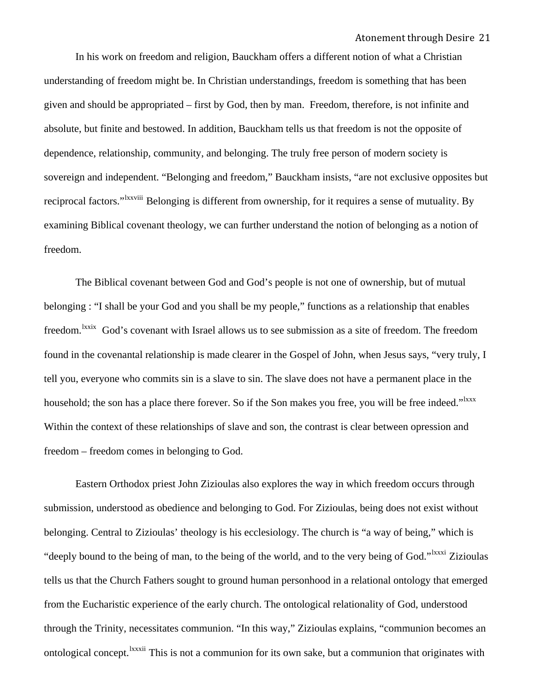In his work on freedom and religion, Bauckham offers a different notion of what a Christian understanding of freedom might be. In Christian understandings, freedom is something that has been given and should be appropriated – first by God, then by man. Freedom, therefore, is not infinite and absolute, but finite and bestowed. In addition, Bauckham tells us that freedom is not the opposite of dependence, relationship, community, and belonging. The truly free person of modern society is sovereign and independent. "Belonging and freedom," Bauckham insists, "are not exclusive opposites but reciprocal factors."<sup>Ixxviii</sup> Belonging is different from ownership, for it requires a sense of mutuality. By examining Biblical covenant theology, we can further understand the notion of belonging as a notion of freedom.

 The Biblical covenant between God and God's people is not one of ownership, but of mutual belonging : "I shall be your God and you shall be my people," functions as a relationship that enables freedom.<sup>[lxxix](#page-33-0)</sup> God's covenant with Israel allows us to see submission as a site of freedom. The freedom found in the covenantal relationship is made clearer in the Gospel of John, when Jesus says, "very truly, I tell you, everyone who commits sin is a slave to sin. The slave does not have a permanent place in the household; the son has a place there forever. So if the Son makes you free, you will be free indeed."<sup>1xxx</sup> Within the context of these relationships of slave and son, the contrast is clear between opression and freedom – freedom comes in belonging to God.

 Eastern Orthodox priest John Zizioulas also explores the way in which freedom occurs through submission, understood as obedience and belonging to God. For Zizioulas, being does not exist without belonging. Central to Zizioulas' theology is his ecclesiology. The church is "a way of being," which is "deeply bound to the being of man, to the being of the world, and to the very being of God."<sup>1xxxi</sup> Zizioulas tells us that the Church Fathers sought to ground human personhood in a relational ontology that emerged from the Eucharistic experience of the early church. The ontological relationality of God, understood through the Trinity, necessitates communion. "In this way," Zizioulas explains, "communion becomes an ontological concept. <sup>Ixxxii</sup> This is not a communion for its own sake, but a communion that originates with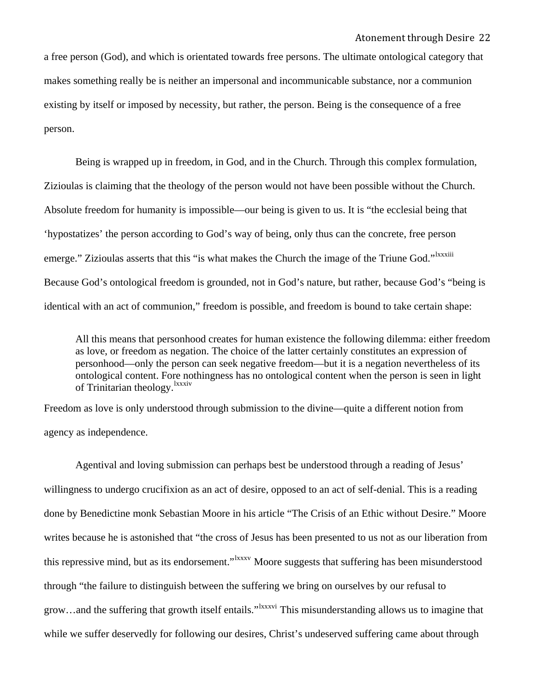a free person (God), and which is orientated towards free persons. The ultimate ontological category that makes something really be is neither an impersonal and incommunicable substance, nor a communion existing by itself or imposed by necessity, but rather, the person. Being is the consequence of a free person.

 Being is wrapped up in freedom, in God, and in the Church. Through this complex formulation, Zizioulas is claiming that the theology of the person would not have been possible without the Church. Absolute freedom for humanity is impossible—our being is given to us. It is "the ecclesial being that 'hypostatizes' the person according to God's way of being, only thus can the concrete, free person emerge." Zizioulas asserts that this "is what makes the Church the image of the Triune God."<sup>Ixxxiii</sup> Because God's ontological freedom is grounded, not in God's nature, but rather, because God's "being is identical with an act of communion," freedom is possible, and freedom is bound to take certain shape:

All this means that personhood creates for human existence the following dilemma: either freedom as love, or freedom as negation. The choice of the latter certainly constitutes an expression of personhood—only the person can seek negative freedom—but it is a negation nevertheless of its ontological content. Fore nothingness has no ontological content when the person is seen in light of Trinitarian theology.<sup>[lxxxiv](#page-33-0)</sup>

Freedom as love is only understood through submission to the divine—quite a different notion from agency as independence.

 Agentival and loving submission can perhaps best be understood through a reading of Jesus' willingness to undergo crucifixion as an act of desire, opposed to an act of self-denial. This is a reading done by Benedictine monk Sebastian Moore in his article "The Crisis of an Ethic without Desire." Moore writes because he is astonished that "the cross of Jesus has been presented to us not as our liberation from this repressive mind, but as its endorsement."<sup>Ixxxv</sup> Moore suggests that suffering has been misunderstood through "the failure to distinguish between the suffering we bring on ourselves by our refusal to grow...and the suffering that growth itself entails."<sup>Ixxxvi</sup> This misunderstanding allows us to imagine that while we suffer deservedly for following our desires, Christ's undeserved suffering came about through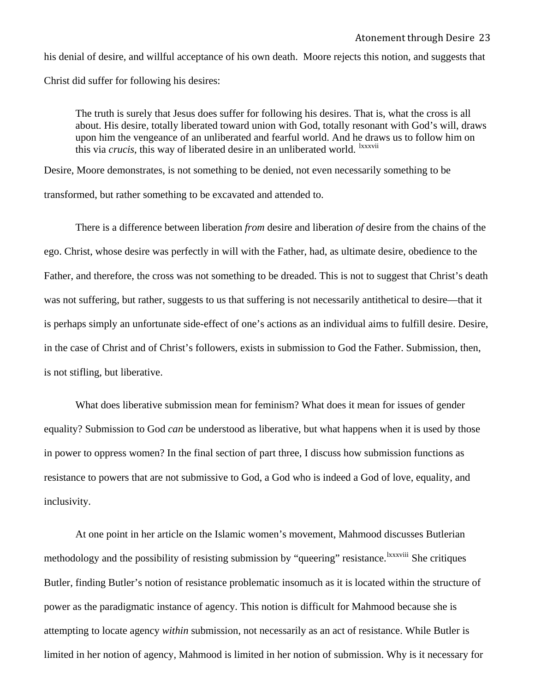his denial of desire, and willful acceptance of his own death. Moore rejects this notion, and suggests that Christ did suffer for following his desires:

The truth is surely that Jesus does suffer for following his desires. That is, what the cross is all about. His desire, totally liberated toward union with God, totally resonant with God's will, draws upon him the vengeance of an unliberated and fearful world. And he draws us to follow him on this via *crucis*, this way of liberated desire in an unliberated world. <sup>Ixxxvii</sup>

Desire, Moore demonstrates, is not something to be denied, not even necessarily something to be transformed, but rather something to be excavated and attended to.

There is a difference between liberation *from* desire and liberation *of* desire from the chains of the ego. Christ, whose desire was perfectly in will with the Father, had, as ultimate desire, obedience to the Father, and therefore, the cross was not something to be dreaded. This is not to suggest that Christ's death was not suffering, but rather, suggests to us that suffering is not necessarily antithetical to desire—that it is perhaps simply an unfortunate side-effect of one's actions as an individual aims to fulfill desire. Desire, in the case of Christ and of Christ's followers, exists in submission to God the Father. Submission, then, is not stifling, but liberative.

 What does liberative submission mean for feminism? What does it mean for issues of gender equality? Submission to God *can* be understood as liberative, but what happens when it is used by those in power to oppress women? In the final section of part three, I discuss how submission functions as resistance to powers that are not submissive to God, a God who is indeed a God of love, equality, and inclusivity.

At one point in her article on the Islamic women's movement, Mahmood discusses Butlerian methodology and the possibility of resisting submission by "queering" resistance. <sup>Ixxxviii</sup> She critiques Butler, finding Butler's notion of resistance problematic insomuch as it is located within the structure of power as the paradigmatic instance of agency. This notion is difficult for Mahmood because she is attempting to locate agency *within* submission, not necessarily as an act of resistance. While Butler is limited in her notion of agency, Mahmood is limited in her notion of submission. Why is it necessary for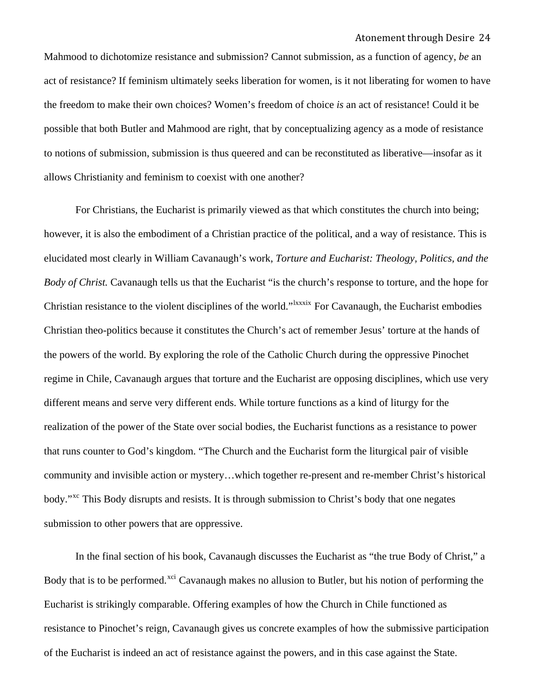Mahmood to dichotomize resistance and submission? Cannot submission, as a function of agency, *be* an act of resistance? If feminism ultimately seeks liberation for women, is it not liberating for women to have the freedom to make their own choices? Women's freedom of choice *is* an act of resistance! Could it be possible that both Butler and Mahmood are right, that by conceptualizing agency as a mode of resistance to notions of submission, submission is thus queered and can be reconstituted as liberative—insofar as it allows Christianity and feminism to coexist with one another?

For Christians, the Eucharist is primarily viewed as that which constitutes the church into being; however, it is also the embodiment of a Christian practice of the political, and a way of resistance. This is elucidated most clearly in William Cavanaugh's work, *Torture and Eucharist: Theology, Politics, and the Body of Christ.* Cavanaugh tells us that the Eucharist "is the church's response to torture, and the hope for Christian resistance to the violent disciplines of the world."<sup>Ixxxix</sup> For Cavanaugh, the Eucharist embodies Christian theo-politics because it constitutes the Church's act of remember Jesus' torture at the hands of the powers of the world. By exploring the role of the Catholic Church during the oppressive Pinochet regime in Chile, Cavanaugh argues that torture and the Eucharist are opposing disciplines, which use very different means and serve very different ends. While torture functions as a kind of liturgy for the realization of the power of the State over social bodies, the Eucharist functions as a resistance to power that runs counter to God's kingdom. "The Church and the Eucharist form the liturgical pair of visible community and invisible action or mystery…which together re-present and re-member Christ's historical body."[xc](#page-33-0) This Body disrupts and resists. It is through submission to Christ's body that one negates submission to other powers that are oppressive.

In the final section of his book, Cavanaugh discusses the Eucharist as "the true Body of Christ," a Body that is to be performed.<sup>[xci](#page-33-0)</sup> Cavanaugh makes no allusion to Butler, but his notion of performing the Eucharist is strikingly comparable. Offering examples of how the Church in Chile functioned as resistance to Pinochet's reign, Cavanaugh gives us concrete examples of how the submissive participation of the Eucharist is indeed an act of resistance against the powers, and in this case against the State.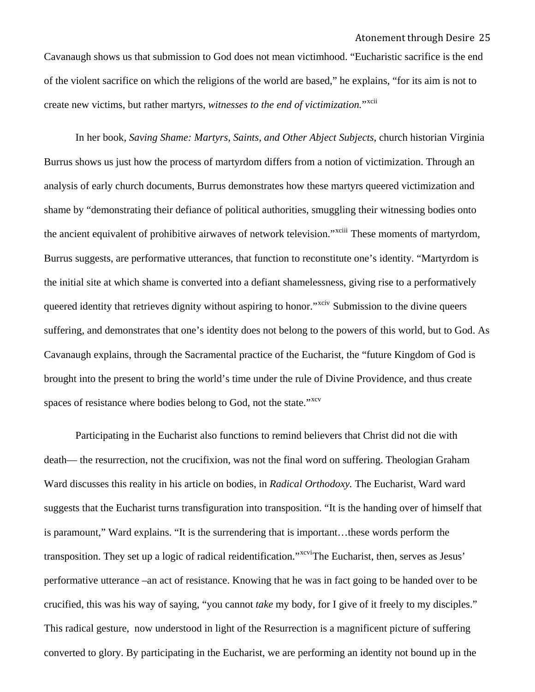Cavanaugh shows us that submission to God does not mean victimhood. "Eucharistic sacrifice is the end of the violent sacrifice on which the religions of the world are based," he explains, "for its aim is not to create new victims, but rather martyrs, *witnesses to the end of victimization.*"[xcii](#page-34-0)

In her book, *Saving Shame: Martyrs, Saints, and Other Abject Subjects*, church historian Virginia Burrus shows us just how the process of martyrdom differs from a notion of victimization. Through an analysis of early church documents, Burrus demonstrates how these martyrs queered victimization and shame by "demonstrating their defiance of political authorities, smuggling their witnessing bodies onto the ancient equivalent of prohibitive airwaves of network television."<sup>[xciii](#page-34-0)</sup> These moments of martyrdom, Burrus suggests, are performative utterances, that function to reconstitute one's identity. "Martyrdom is the initial site at which shame is converted into a defiant shamelessness, giving rise to a performatively queered identity that retrieves dignity without aspiring to honor."<sup>[xciv](#page-34-0)</sup> Submission to the divine queers suffering, and demonstrates that one's identity does not belong to the powers of this world, but to God. As Cavanaugh explains, through the Sacramental practice of the Eucharist, the "future Kingdom of God is brought into the present to bring the world's time under the rule of Divine Providence, and thus create spaces of resistance where bodies belong to God, not the state."<sup>[xcv](#page-34-0)</sup>

Participating in the Eucharist also functions to remind believers that Christ did not die with death— the resurrection, not the crucifixion, was not the final word on suffering. Theologian Graham Ward discusses this reality in his article on bodies, in *Radical Orthodoxy.* The Eucharist, Ward ward suggests that the Eucharist turns transfiguration into transposition. "It is the handing over of himself that is paramount," Ward explains. "It is the surrendering that is important…these words perform the transposition. They set up a logic of radical reidentification."<sup>[xcvi](#page-34-0)</sup>The Eucharist, then, serves as Jesus' performative utterance –an act of resistance. Knowing that he was in fact going to be handed over to be crucified, this was his way of saying, "you cannot *take* my body, for I give of it freely to my disciples." This radical gesture, now understood in light of the Resurrection is a magnificent picture of suffering converted to glory. By participating in the Eucharist, we are performing an identity not bound up in the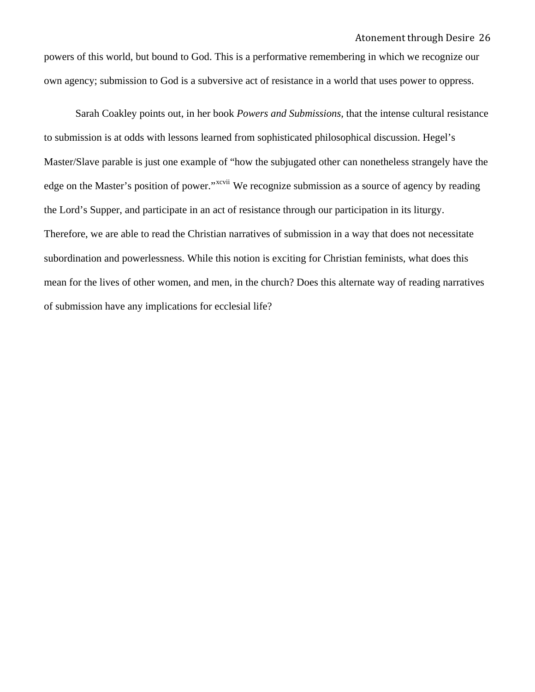powers of this world, but bound to God. This is a performative remembering in which we recognize our own agency; submission to God is a subversive act of resistance in a world that uses power to oppress.

Sarah Coakley points out, in her book *Powers and Submissions,* that the intense cultural resistance to submission is at odds with lessons learned from sophisticated philosophical discussion. Hegel's Master/Slave parable is just one example of "how the subjugated other can nonetheless strangely have the edge on the Master's position of power."<sup>[xcvii](#page-34-0)</sup> We recognize submission as a source of agency by reading the Lord's Supper, and participate in an act of resistance through our participation in its liturgy. Therefore, we are able to read the Christian narratives of submission in a way that does not necessitate subordination and powerlessness. While this notion is exciting for Christian feminists, what does this mean for the lives of other women, and men, in the church? Does this alternate way of reading narratives of submission have any implications for ecclesial life?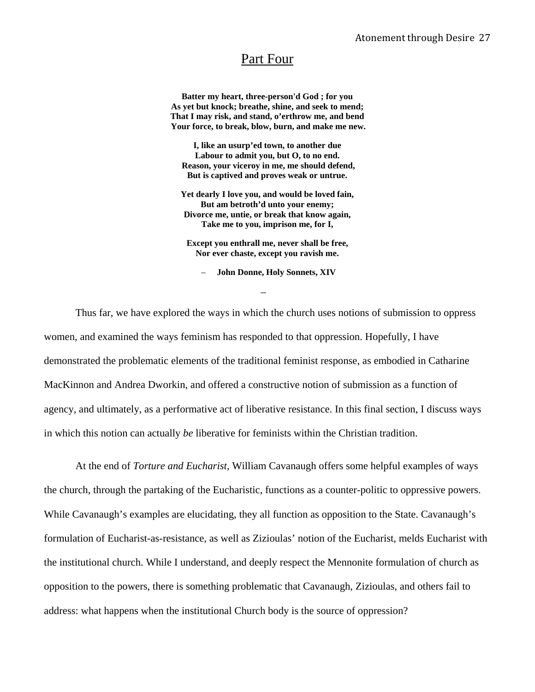# Part Four

**Batter my heart, three-person'd God ; for you As yet but knock; breathe, shine, and seek to mend; That I may risk, and stand, o'erthrow me, and bend Your force, to break, blow, burn, and make me new.** 

**I, like an usurp'ed town, to another due Labour to admit you, but O, to no end. Reason, your viceroy in me, me should defend, But is captived and proves weak or untrue.** 

**Yet dearly I love you, and would be loved fain, But am betroth'd unto your enemy; Divorce me, untie, or break that know again, Take me to you, imprison me, for I,** 

**Except you enthrall me, never shall be free, Nor ever chaste, except you ravish me.** 

– **John Donne, Holy Sonnets, XIV** 

–

Thus far, we have explored the ways in which the church uses notions of submission to oppress women, and examined the ways feminism has responded to that oppression. Hopefully, I have demonstrated the problematic elements of the traditional feminist response, as embodied in Catharine MacKinnon and Andrea Dworkin, and offered a constructive notion of submission as a function of agency, and ultimately, as a performative act of liberative resistance. In this final section, I discuss ways in which this notion can actually *be* liberative for feminists within the Christian tradition.

At the end of *Torture and Eucharist*, William Cavanaugh offers some helpful examples of ways the church, through the partaking of the Eucharistic, functions as a counter-politic to oppressive powers. While Cavanaugh's examples are elucidating, they all function as opposition to the State. Cavanaugh's formulation of Eucharist-as-resistance, as well as Zizioulas' notion of the Eucharist, melds Eucharist with the institutional church. While I understand, and deeply respect the Mennonite formulation of church as opposition to the powers, there is something problematic that Cavanaugh, Zizioulas, and others fail to address: what happens when the institutional Church body is the source of oppression?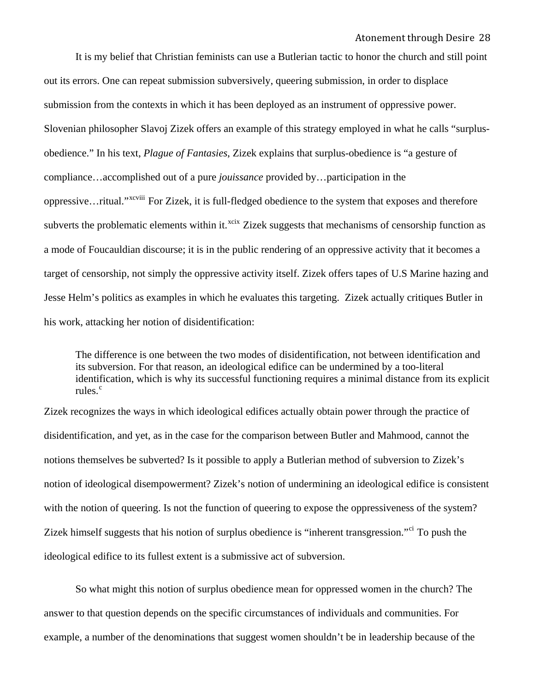It is my belief that Christian feminists can use a Butlerian tactic to honor the church and still point out its errors. One can repeat submission subversively, queering submission, in order to displace submission from the contexts in which it has been deployed as an instrument of oppressive power. Slovenian philosopher Slavoj Zizek offers an example of this strategy employed in what he calls "surplusobedience." In his text, *Plague of Fantasies*, Zizek explains that surplus-obedience is "a gesture of compliance…accomplished out of a pure *jouissance* provided by…participation in the oppressive…ritual."[xcviii](#page-34-0) For Zizek, it is full-fledged obedience to the system that exposes and therefore subverts the problematic elements within it.<sup>[xcix](#page-34-0)</sup> Zizek suggests that mechanisms of censorship function as a mode of Foucauldian discourse; it is in the public rendering of an oppressive activity that it becomes a target of censorship, not simply the oppressive activity itself. Zizek offers tapes of U.S Marine hazing and Jesse Helm's politics as examples in which he evaluates this targeting. Zizek actually critiques Butler in his work, attacking her notion of disidentification:

The difference is one between the two modes of disidentification, not between identification and its subversion. For that reason, an ideological edifice can be undermined by a too-literal identification, which is why its successful functioning requires a minimal distance from its explicit rules.<sup>[c](#page-34-0)</sup>

Zizek recognizes the ways in which ideological edifices actually obtain power through the practice of disidentification, and yet, as in the case for the comparison between Butler and Mahmood, cannot the notions themselves be subverted? Is it possible to apply a Butlerian method of subversion to Zizek's notion of ideological disempowerment? Zizek's notion of undermining an ideological edifice is consistent with the notion of queering. Is not the function of queering to expose the oppressiveness of the system? Zizek himself suggests that his notion of surplus obedience is "inherent transgression."<sup>[ci](#page-34-0)</sup> To push the ideological edifice to its fullest extent is a submissive act of subversion.

 So what might this notion of surplus obedience mean for oppressed women in the church? The answer to that question depends on the specific circumstances of individuals and communities. For example, a number of the denominations that suggest women shouldn't be in leadership because of the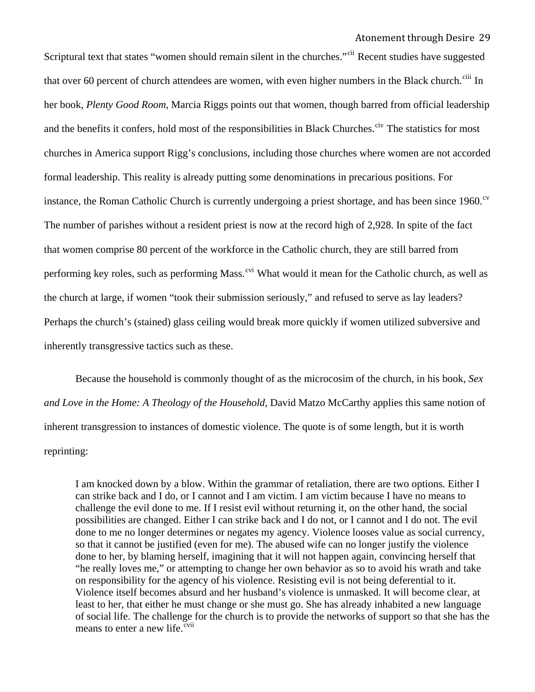Scriptural text that states "women should remain silent in the churches."<sup>[cii](#page-34-0)</sup> Recent studies have suggested that over 60 percent of church attendees are women, with even higher numbers in the Black church.<sup>[ciii](#page-34-0)</sup> In her book, *Plenty Good Room,* Marcia Riggs points out that women, though barred from official leadership and the benefits it confers, hold most of the responsibilities in Black Churches.<sup>[civ](#page-34-0)</sup> The statistics for most churches in America support Rigg's conclusions, including those churches where women are not accorded formal leadership. This reality is already putting some denominations in precarious positions. For instance, the Roman Catholic Church is currently undergoing a priest shortage, and has been since 1960.<sup>[cv](#page-34-0)</sup> The number of parishes without a resident priest is now at the record high of 2,928. In spite of the fact that women comprise 80 percent of the workforce in the Catholic church, they are still barred from performing key roles, such as performing Mass.<sup>[cvi](#page-34-0)</sup> What would it mean for the Catholic church, as well as the church at large, if women "took their submission seriously," and refused to serve as lay leaders? Perhaps the church's (stained) glass ceiling would break more quickly if women utilized subversive and inherently transgressive tactics such as these.

 Because the household is commonly thought of as the microcosim of the church, in his book, *Sex and Love in the Home: A Theology of the Household*, David Matzo McCarthy applies this same notion of inherent transgression to instances of domestic violence. The quote is of some length, but it is worth reprinting:

I am knocked down by a blow. Within the grammar of retaliation, there are two options. Either I can strike back and I do, or I cannot and I am victim. I am victim because I have no means to challenge the evil done to me. If I resist evil without returning it, on the other hand, the social possibilities are changed. Either I can strike back and I do not, or I cannot and I do not. The evil done to me no longer determines or negates my agency. Violence looses value as social currency, so that it cannot be justified (even for me). The abused wife can no longer justify the violence done to her, by blaming herself, imagining that it will not happen again, convincing herself that "he really loves me," or attempting to change her own behavior as so to avoid his wrath and take on responsibility for the agency of his violence. Resisting evil is not being deferential to it. Violence itself becomes absurd and her husband's violence is unmasked. It will become clear, at least to her, that either he must change or she must go. She has already inhabited a new language of social life. The challenge for the church is to provide the networks of support so that she has the means to enter a new life. $\frac{c}{c}$ <sup>vii</sup>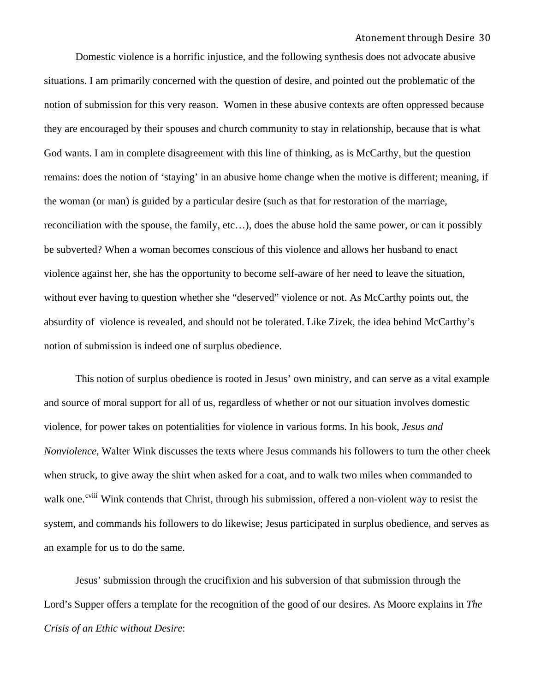Domestic violence is a horrific injustice, and the following synthesis does not advocate abusive situations. I am primarily concerned with the question of desire, and pointed out the problematic of the notion of submission for this very reason. Women in these abusive contexts are often oppressed because they are encouraged by their spouses and church community to stay in relationship, because that is what God wants. I am in complete disagreement with this line of thinking, as is McCarthy, but the question remains: does the notion of 'staying' in an abusive home change when the motive is different; meaning, if the woman (or man) is guided by a particular desire (such as that for restoration of the marriage, reconciliation with the spouse, the family, etc…), does the abuse hold the same power, or can it possibly be subverted? When a woman becomes conscious of this violence and allows her husband to enact violence against her, she has the opportunity to become self-aware of her need to leave the situation, without ever having to question whether she "deserved" violence or not. As McCarthy points out, the absurdity of violence is revealed, and should not be tolerated. Like Zizek, the idea behind McCarthy's notion of submission is indeed one of surplus obedience.

 This notion of surplus obedience is rooted in Jesus' own ministry, and can serve as a vital example and source of moral support for all of us, regardless of whether or not our situation involves domestic violence, for power takes on potentialities for violence in various forms. In his book, *Jesus and Nonviolence*, Walter Wink discusses the texts where Jesus commands his followers to turn the other cheek when struck, to give away the shirt when asked for a coat, and to walk two miles when commanded to walk one.<sup>[cviii](#page-34-0)</sup> Wink contends that Christ, through his submission, offered a non-violent way to resist the system, and commands his followers to do likewise; Jesus participated in surplus obedience, and serves as an example for us to do the same.

Jesus' submission through the crucifixion and his subversion of that submission through the Lord's Supper offers a template for the recognition of the good of our desires. As Moore explains in *The Crisis of an Ethic without Desire*: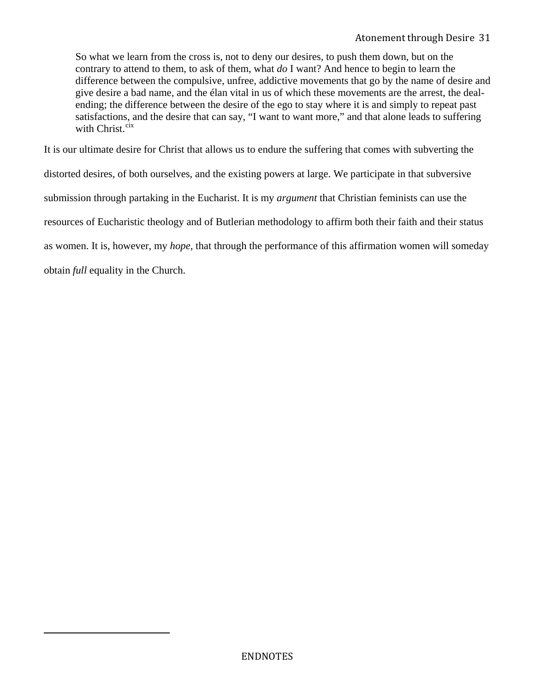So what we learn from the cross is, not to deny our desires, to push them down, but on the contrary to attend to them, to ask of them, what *do* I want? And hence to begin to learn the difference between the compulsive, unfree, addictive movements that go by the name of desire and give desire a bad name, and the élan vital in us of which these movements are the arrest, the dealending; the difference between the desire of the ego to stay where it is and simply to repeat past satisfactions, and the desire that can say, "I want to want more," and that alone leads to suffering with Christ. $\frac{cix}{}$  $\frac{cix}{}$  $\frac{cix}{}$ 

It is our ultimate desire for Christ that allows us to endure the suffering that comes with subverting the distorted desires, of both ourselves, and the existing powers at large. We participate in that subversive submission through partaking in the Eucharist. It is my *argument* that Christian feminists can use the resources of Eucharistic theology and of Butlerian methodology to affirm both their faith and their status as women. It is, however, my *hope,* that through the performance of this affirmation women will someday obtain *full* equality in the Church.

<span id="page-30-0"></span>l,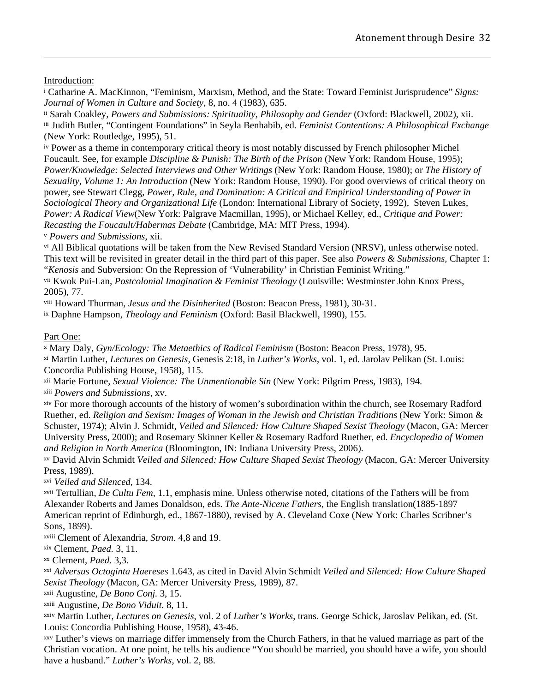Introduction:

i Catharine A. MacKinnon, "Feminism, Marxism, Method, and the State: Toward Feminist Jurisprudence" *Signs: Journal of Women in Culture and Society*, 8, no. 4 (1983), 635.

<span id="page-31-0"></span><u> 1989 - Andrea Santa Andrea Andrea Andrea Andrea Andrea Andrea Andrea Andrea Andrea Andrea Andrea Andrea Andr</u>

ii Sarah Coakley, *Powers and Submissions: Spirituality, Philosophy and Gender* (Oxford: Blackwell, 2002), xii. iii Judith Butler, "Contingent Foundations" in Seyla Benhabib, ed. *Feminist Contentions: A Philosophical Exchange* (New York: Routledge, 1995), 51.

iv Power as a theme in contemporary critical theory is most notably discussed by French philosopher Michel Foucault. See, for example *Discipline & Punish: The Birth of the Prison* (New York: Random House, 1995); *Power/Knowledge: Selected Interviews and Other Writings* (New York: Random House, 1980); or *The History of Sexuality, Volume 1: An Introduction* (New York: Random House, 1990). For good overviews of critical theory on power, see Stewart Clegg, *Power, Rule, and Domination: A Critical and Empirical Understanding of Power in Sociological Theory and Organizational Life* (London: International Library of Society, 1992), Steven Lukes, *Power: A Radical View*(New York: Palgrave Macmillan, 1995), or Michael Kelley, ed., *Critique and Power: Recasting the Foucault/Habermas Debate* (Cambridge, MA: MIT Press, 1994).

<sup>*v*</sup> Powers and Submissions, xii.

vi All Biblical quotations will be taken from the New Revised Standard Version (NRSV), unless otherwise noted. This text will be revisited in greater detail in the third part of this paper. See also *Powers & Submissions*, Chapter 1: "*Kenosis* and Subversion: On the Repression of 'Vulnerability' in Christian Feminist Writing."

vii Kwok Pui-Lan, *Postcolonial Imagination & Feminist Theology* (Louisville: Westminster John Knox Press, 2005), 77.

viii Howard Thurman, *Jesus and the Disinherited* (Boston: Beacon Press, 1981), 30-31.

ix Daphne Hampson, *Theology and Feminism* (Oxford: Basil Blackwell, 1990), 155.

Part One:

x Mary Daly, *Gyn/Ecology: The Metaethics of Radical Feminism* (Boston: Beacon Press, 1978), 95.

xi Martin Luther, *Lectures on Genesis,* Genesis 2:18, in *Luther's Works*, vol. 1, ed. Jarolav Pelikan (St. Louis: Concordia Publishing House, 1958), 115.

<sup>xii</sup> Marie Fortune, *Sexual Violence: The Unmentionable Sin* (New York: Pilgrim Press, 1983), 194.

<sup>xiii</sup> *Powers and Submissions*, xv.

xiv For more thorough accounts of the history of women's subordination within the church, see Rosemary Radford Ruether, ed. *Religion and Sexism: Images of Woman in the Jewish and Christian Traditions* (New York: Simon & Schuster, 1974); Alvin J. Schmidt, *Veiled and Silenced: How Culture Shaped Sexist Theology* (Macon, GA: Mercer University Press, 2000); and Rosemary Skinner Keller & Rosemary Radford Ruether, ed. *Encyclopedia of Women and Religion in North America* (Bloomington, IN: Indiana University Press, 2006).

xv David Alvin Schmidt *Veiled and Silenced: How Culture Shaped Sexist Theology* (Macon, GA: Mercer University Press, 1989).

*Veiled and Silenced*, 134. xvi

xvii Tertullian, *De Cultu Fem,* 1.1, emphasis mine. Unless otherwise noted, citations of the Fathers will be from Alexander Roberts and James Donaldson, eds. *The Ante-Nicene Fathers*, the English translation(1885-1897 American reprint of Edinburgh, ed., 1867-1880), revised by A. Cleveland Coxe (New York: Charles Scribner's Sons, 1899).

xviii Clement of Alexandria, *Strom*. 4,8 and 19.

xix Clement, *Paed.* 3, 11.

Clement, *Paed.* 3,3. xx

xxi *Adversus Octoginta Haereses* 1.643, as cited in David Alvin Schmidt *Veiled and Silenced: How Culture Shaped Sexist Theology* (Macon, GA: Mercer University Press, 1989), 87.

<sup>xxii</sup> Augustine, *De Bono Conj.* 3, 15.

<sup>xxiii</sup> Augustine, *De Bono Viduit.* 8, 11.

xxiv Martin Luther, *Lectures on Genesis*, vol. 2 of *Luther's Works*, trans. George Schick, Jaroslav Pelikan, ed. (St. Louis: Concordia Publishing House, 1958), 43-46.

xxv Luther's views on marriage differ immensely from the Church Fathers, in that he valued marriage as part of the Christian vocation. At one point, he tells his audience "You should be married, you should have a wife, you should have a husband." *Luther's Works*, vol. 2, 88.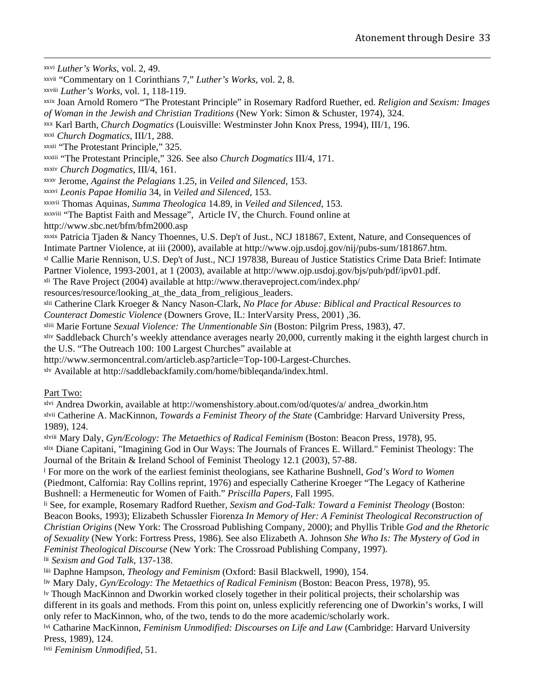<span id="page-32-0"></span><u> 1989 - Andrea Santa Andrea Andrea Andrea Andrea Andrea Andrea Andrea Andrea Andrea Andrea Andrea Andrea Andr</u> xxvi *Luther's Works*, vol. 2, 49.

xxvii "Commentary on 1 Corinthians 7," *Luther's Works*, vol. 2, 8.

xxviii *Luther's Works*, vol. 1, 118-119.

xxix Joan Arnold Romero "The Protestant Principle" in Rosemary Radford Ruether, ed. *Religion and Sexism: Images of Woman in the Jewish and Christian Traditions* (New York: Simon & Schuster, 1974), 324.

xxx Karl Barth, *Church Dogmatics* (Louisville: Westminster John Knox Press, 1994), III/1, 196.

xxxi Church Dogmatics, III/1, 288.

xxxii "The Protestant Principle," 325.

xxxiii "The Protestant Principle," 326. See also *Church Dogmatics* III/4, 171.

*Church Dogmatics*, III/4, 161. xxxiv

Jerome, *Against the Pelagians* 1.25, in *Veiled and Silenced*, 153. xxxv

*Leonis Papae Homilia* 34, in *Veiled and Silenced,* 153. xxxvi

Thomas Aquinas*, Summa Theologica* 14.89, in *Veiled and Silenced*, 153. xxxvii

xxxviii "The Baptist Faith and Message", Article IV, the Church. Found online at

http://www.sbc.net/bfm/bfm2000.asp

xxxix Patricia Tjaden & Nancy Thoennes, U.S. Dep't of Just., NCJ 181867, Extent, Nature, and Consequences of Intimate Partner Violence, at iii (2000), available at http://www.ojp.usdoj.gov/nij/pubs-sum/181867.htm. xl Callie Marie Rennison, U.S. Dep't of Just., NCJ 197838, Bureau of Justice Statistics Crime Data Brief: Intimate

Partner Violence, 1993-2001, at 1 (2003), available at http://www.ojp.usdoj.gov/bjs/pub/pdf/ipv01.pdf.

xli The Rave Project (2004) available at http://www.theraveproject.com/index.php/

resources/resource/looking\_at\_the\_data\_from\_religious\_leaders.

xlii Catherine Clark Kroeger & Nancy Nason-Clark, *No Place for Abuse: Biblical and Practical Resources to Counteract Domestic Violence* (Downers Grove, IL: InterVarsity Press, 2001) ,36.

Marie Fortune *Sexual Violence: The Unmentionable Sin* (Boston: Pilgrim Press, 1983), 47. xliii

xliv Saddleback Church's weekly attendance averages nearly 20,000, currently making it the eighth largest church in the U.S. "The Outreach 100: 100 Largest Churches" available at

http://www.sermoncentral.com/articleb.asp?article=Top-100-Largest-Churches.

xlv Available at http://saddlebackfamily.com/home/bibleqanda/index.html.

### Part Two:

xlvi Andrea Dworkin, available at http://womenshistory.about.com/od/quotes/a/ andrea\_dworkin.htm xlvii Catherine A. MacKinnon, *Towards a Feminist Theory of the State* (Cambridge: Harvard University Press, 1989), 124.

xlviii Mary Daly, *Gyn/Ecology: The Metaethics of Radical Feminism* (Boston: Beacon Press, 1978), 95. xlix Diane Capitani, "Imagining God in Our Ways: The Journals of Frances E. Willard." Feminist Theology: The Journal of the Britain & Ireland School of Feminist Theology 12.1 (2003), 57-88.

l For more on the work of the earliest feminist theologians, see Katharine Bushnell, *God's Word to Women*  (Piedmont, Calfornia: Ray Collins reprint, 1976) and especially Catherine Kroeger "The Legacy of Katherine Bushnell: a Hermeneutic for Women of Faith." *Priscilla Papers,* Fall 1995.

li See, for example, Rosemary Radford Ruether, *Sexism and God-Talk: Toward a Feminist Theology* (Boston: Beacon Books, 1993); Elizabeth Schussler Fiorenza *In Memory of Her: A Feminist Theological Reconstruction of Christian Origins* (New York: The Crossroad Publishing Company, 2000); and Phyllis Trible *God and the Rhetoric of Sexuality* (New York: Fortress Press, 1986). See also Elizabeth A. Johnson *She Who Is: The Mystery of God in Feminist Theological Discourse* (New York: The Crossroad Publishing Company, 1997). lii Sexism and God Talk, 137-138.

liii Daphne Hampson, *Theology and Feminism* (Oxford: Basil Blackwell, 1990), 154.

liv Mary Daly, *Gyn/Ecology: The Metaethics of Radical Feminism* (Boston: Beacon Press, 1978), 95.

lv Though MacKinnon and Dworkin worked closely together in their political projects, their scholarship was different in its goals and methods. From this point on, unless explicitly referencing one of Dworkin's works, I will only refer to MacKinnon, who, of the two, tends to do the more academic/scholarly work.

lvi Catharine MacKinnon, *Feminism Unmodified: Discourses on Life and Law* (Cambridge: Harvard University Press, 1989), 124.

lvii *Feminism Unmodified*, 51.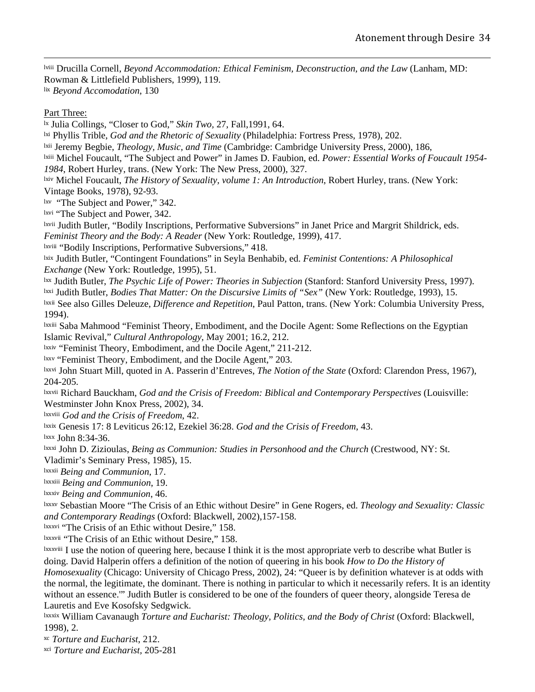<span id="page-33-0"></span>lviii Drucilla Cornell, *Beyond Accommodation: Ethical Feminism, Deconstruction, and the Law* (Lanham, MD: Rowman & Littlefield Publishers, 1999), 119. lix *Beyond Accomodation*, 130

<u> 1989 - Andrea Santa Andrea Andrea Andrea Andrea Andrea Andrea Andrea Andrea Andrea Andrea Andrea Andrea Andr</u>

Part Three:

lx Julia Collings, "Closer to God," *Skin Two,* 27, Fall,1991, 64.

<sup>1xi</sup> Phyllis Trible, *God and the Rhetoric of Sexuality* (Philadelphia: Fortress Press, 1978), 202.

<sup>1xii</sup> Jeremy Begbie, *Theology, Music, and Time* (Cambridge: Cambridge University Press, 2000), 186,

lxiii Michel Foucault, "The Subject and Power" in James D. Faubion, ed. *Power: Essential Works of Foucault 1954-*

*1984*, Robert Hurley, trans. (New York: The New Press, 2000), 327.

lxiv Michel Foucault, *The History of Sexuality, volume 1: An Introduction*, Robert Hurley, trans. (New York: Vintage Books, 1978), 92-93.

 $\frac{1}{x}$  "The Subject and Power," 342.

lxvi "The Subject and Power, 342.

lxvii Judith Butler, "Bodily Inscriptions, Performative Subversions" in Janet Price and Margrit Shildrick, eds. *Feminist Theory and the Body: A Reader* (New York: Routledge, 1999), 417.

lxviii "Bodily Inscriptions, Performative Subversions," 418.

lxix Judith Butler, "Contingent Foundations" in Seyla Benhabib, ed. *Feminist Contentions: A Philosophical Exchange* (New York: Routledge, 1995), 51.

lxx Judith Butler, *The Psychic Life of Power: Theories in Subjection* (Stanford: Stanford University Press, 1997). <sup>1xxi</sup> Judith Butler, *Bodies That Matter: On the Discursive Limits of "Sex"* (New York: Routledge, 1993), 15. lxxii See also Gilles Deleuze, *Difference and Repetition*, Paul Patton, trans. (New York: Columbia University Press, 1994).

lxxiii Saba Mahmood "Feminist Theory, Embodiment, and the Docile Agent: Some Reflections on the Egyptian Islamic Revival," *Cultural Anthropology*, May 2001; 16.2, 212.

 $\frac{1}{x}$  "Feminist Theory, Embodiment, and the Docile Agent," 211-212.

lxxv "Feminist Theory, Embodiment, and the Docile Agent," 203.

lxxvi John Stuart Mill, quoted in A. Passerin d'Entreves, *The Notion of the State* (Oxford: Clarendon Press, 1967), 204-205.

lxxvii Richard Bauckham, *God and the Crisis of Freedom: Biblical and Contemporary Perspectives* (Louisville: Westminster John Knox Press, 2002), 34.

<sup>lxxviii</sup> God and the Crisis of Freedom, 42.

lxxix Genesis 17: 8 Leviticus 26:12, Ezekiel 36:28. *God and the Crisis of Freedom*, 43.

lxxx John 8:34-36.

lxxxi John D. Zizioulas, *Being as Communion: Studies in Personhood and the Church* (Crestwood, NY: St. Vladimir's Seminary Press, 1985), 15.

<sup>lxxxii</sup> Being and Communion, 17.

**Being and Communion**, 19.

**Ixxxiv Being and Communion, 46.** 

lxxxv Sebastian Moore "The Crisis of an Ethic without Desire" in Gene Rogers, ed. *Theology and Sexuality: Classic and Contemporary Readings* (Oxford: Blackwell, 2002),157-158.

<sup>1xxxvi</sup> "The Crisis of an Ethic without Desire," 158.

<sup>1xxxvii</sup> "The Crisis of an Ethic without Desire," 158.

lxxxviii I use the notion of queering here, because I think it is the most appropriate verb to describe what Butler is doing. David Halperin offers a definition of the notion of queering in his book *How to Do the History of Homosexuality* (Chicago: University of Chicago Press, 2002), 24: "Queer is by definition whatever is at odds with the normal, the legitimate, the dominant. There is nothing in particular to which it necessarily refers. It is an identity without an essence.'" Judith Butler is considered to be one of the founders of queer theory, alongside Teresa de Lauretis and Eve Kosofsky Sedgwick.

lxxxix William Cavanaugh *Torture and Eucharist: Theology, Politics, and the Body of Christ* (Oxford: Blackwell, 1998), 2.

<sup>xc</sup> Torture and Eucharist, 212.

xci *Torture and Eucharist,* 205-281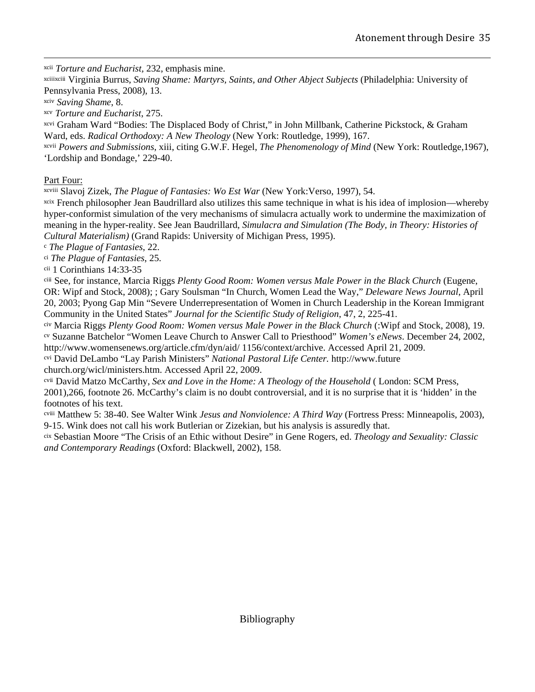<span id="page-34-0"></span><u> 1989 - Andrea Santa Andrea Andrea Andrea Andrea Andrea Andrea Andrea Andrea Andrea Andrea Andrea Andrea Andr</u> xcii *To rture and Eucharist,* 232, emphasis mine.

xciiixciii Virginia Burrus, *Saving Shame: Martyrs, Saints, and Other Abject Subjects* (Philadelphia: University of Pennsylvania Press, 2008), 13.

**xciv** Saving Shame, 8.

*xcv Torture and Eucharist*, 275.

xcvi Graham Ward "Bodies: The Displaced Body of Christ," in John Millbank, Catherine Pickstock, & Graham Ward, eds. *Radical Orthodoxy: A New Theology* (New York: Routledge, 1999), 167.

xcvii *Powers and Submissions*, xiii, citing G.W.F. Hegel, *The Phenomenology of Mind* (New York: Routledge,1967), 'Lordship and Bondage,' 229-40.

Part Four:

xcvii i Slavoj Zizek, *The Plague of Fantasies: Wo Est War* (New York:Verso, 1997), 54.

xcix French philosopher Jean Baudrillard also utilizes this same technique in what is his idea of implosion—whereby hyper-conformist simulation of the very mechanisms of simulacra actually work to undermine the maximization of meaning in the hyper-reality. See Jean Baudrillard, *Simulacra and Simulation (The Body, in Theory: Histories of ultural Materialism)* (Grand Rapids: University of Michigan Press, 1995). *C*

<sup>c</sup> The Plague of Fantasies, 22.

<sup>ci</sup> The Plague of Fantasies, 25.

cii 1 Corinthians 14:33-35

ciii See, for instance, Marcia Riggs *Plenty Good Room: Women versus Male Power in the Black Church* (Eugene, OR: Wipf and Stock, 2008); ; Gary Soulsman "In Church, Women Lead the Way," *Deleware News Journal*, April 20, 2003; Pyong Gap Min "Severe Underrepresentation of Women in Church Leadership in the Korean Immigrant Community in the United States" *Journal for the Scientific Study of Religion*, 47, 2, 225-41.

<sup>civ</sup> Marcia Riggs *Plenty Good Room: Women versus Male Power in the Black Church* (:Wipf and Stock, 2008), 19. cv Suzanne Batchelor "Women Leave Church to Answer Call to Priesthood" *Women's eNews*. December 24, 2002, http://www.womensenews.org/article.cfm/dyn/aid/ 1156/context/archive. Accessed April 21, 2009.

cvi David DeLambo "Lay Parish Ministers" *National Pastoral Life Center.* http://www.future

church.org/wicl/ministers.htm. Accessed April 22, 2009.

cvii David Matzo McCarthy, *Sex and Love in the Home: A Theology of the Household* ( London: SCM Press, 2001),266, footnote 26. McCarthy's claim is no doubt controversial, and it is no surprise that it is 'hidden' in the footnotes of his text.

cviii Matthew 5: 38-40. See Walter Wink *Jesus and Nonviolence: A Third Way* (Fortress Press: Minneapolis, 2003), 9-15. Wink does not call his work Butlerian or Zizekian, but his analysis is assuredly that.

<sup>x</sup> Sebastian Moore "The Crisis of an Ethic without Desire" in Gene Rogers, ed. *Theology and Sexuality: Classic*  ci *nd Contemporary Readings* (Oxford: Blackwell, 2002), 158. *a*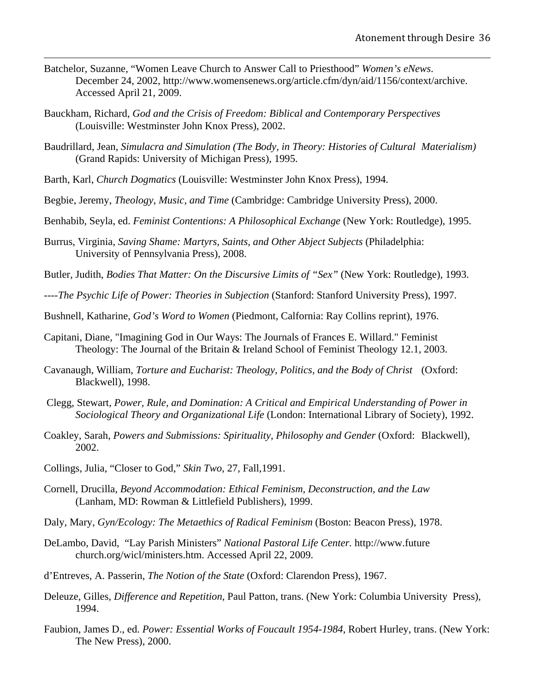Batchelor, Suzanne, "Women Leave Church to Answer Call to Priesthood" *Women's eNews*. December 24, 2002, http://www.womensenews.org/article.cfm/dyn/aid/1156/context/archive. Accessed April 21, 2009.

<u> 1989 - Andrea Santa Andrea Andrea Andrea Andrea Andrea Andrea Andrea Andrea Andrea Andrea Andrea Andrea Andr</u>

- Bauckham, Richard, *God and the Crisis of Freedom: Biblical and Contemporary Perspectives* (Louisville: Westminster John Knox Press), 2002.
- Baudrillard, Jean, *Simulacra and Simulation (The Body, in Theory: Histories of Cultural Materialism)* (Grand Rapids: University of Michigan Press), 1995.
- Barth, Karl, *Church Dogmatics* (Louisville: Westminster John Knox Press), 1994.
- Begbie, Jeremy, *Theology, Music, and Time* (Cambridge: Cambridge University Press), 2000.
- Benhabib, Seyla, ed. *Feminist Contentions: A Philosophical Exchange* (New York: Routledge), 1995.
- Burrus, Virginia, *Saving Shame: Martyrs, Saints, and Other Abject Subjects* (Philadelphia: University of Pennsylvania Press), 2008.
- Butler, Judith, *Bodies That Matter: On the Discursive Limits of "Sex"* (New York: Routledge), 1993.
- ----*The Psychic Life of Power: Theories in Subjection* (Stanford: Stanford University Press), 1997.
- Bushnell, Katharine, *God's Word to Women* (Piedmont, Calfornia: Ray Collins reprint), 1976.
- Capitani, Diane, "Imagining God in Our Ways: The Journals of Frances E. Willard." Feminist Theology: The Journal of the Britain & Ireland School of Feminist Theology 12.1, 2003.
- Cavanaugh, William, *Torture and Eucharist: Theology, Politics, and the Body of Christ* (Oxford: Blackwell), 1998.
- Clegg, Stewart, *Power, Rule, and Domination: A Critical and Empirical Understanding of Power in Sociological Theory and Organizational Life* (London: International Library of Society), 1992.
- Coakley, Sarah, *Powers and Submissions: Spirituality, Philosophy and Gender* (Oxford: Blackwell), 2002.
- Collings, Julia, "Closer to God," *Skin Two,* 27, Fall,1991.
- Cornell, Drucilla, *Beyond Accommodation: Ethical Feminism, Deconstruction, and the Law* (Lanham, MD: Rowman & Littlefield Publishers), 1999.
- Daly, Mary, *Gyn/Ecology: The Metaethics of Radical Feminism* (Boston: Beacon Press), 1978.
- DeLambo, David, "Lay Parish Ministers" *National Pastoral Life Center.* http://www.future church.org/wicl/ministers.htm. Accessed April 22, 2009.
- d'Entreves, A. Passerin, *The Notion of the State* (Oxford: Clarendon Press), 1967.
- Deleuze, Gilles, *Difference and Repetition*, Paul Patton, trans. (New York: Columbia University Press), 1994.
- Faubion, James D., ed. *Power: Essential Works of Foucault 1954-1984*, Robert Hurley, trans. (New York: The New Press), 2000.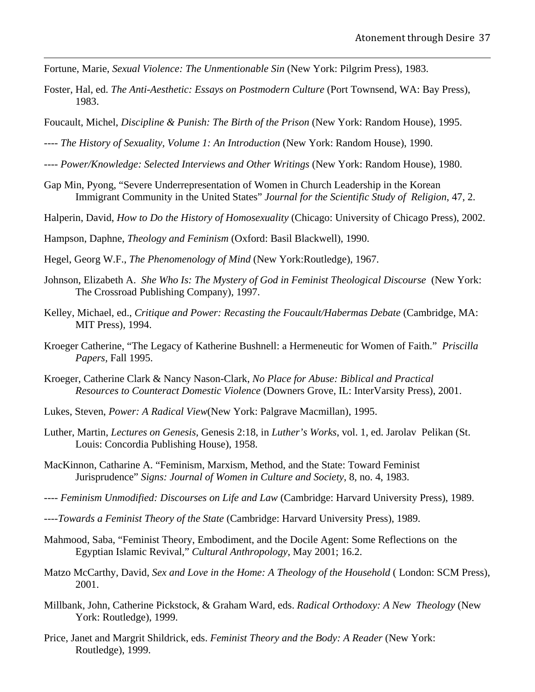- Fortune, Marie, *Sexual Violence: The Unmentionable Sin* (New York: Pilgrim Press), 1983.
- Foster, Hal, ed. *The Anti-Aesthetic: Essays on Postmodern Culture* (Port Townsend, WA: Bay Press), 1983.

<u> 1989 - Andrea Santa Andrea Andrea Andrea Andrea Andrea Andrea Andrea Andrea Andrea Andrea Andrea Andrea Andr</u>

- Foucault, Michel, *Discipline & Punish: The Birth of the Prison* (New York: Random House), 1995.
- ---- *The History of Sexuality, Volume 1: An Introduction* (New York: Random House), 1990.
- ---- *Power/Knowledge: Selected Interviews and Other Writings* (New York: Random House), 1980.
- Gap Min, Pyong, "Severe Underrepresentation of Women in Church Leadership in the Korean Immigrant Community in the United States" *Journal for the Scientific Study of Religion*, 47, 2.
- Halperin, David, *How to Do the History of Homosexuality* (Chicago: University of Chicago Press), 2002.

Hampson, Daphne, *Theology and Feminism* (Oxford: Basil Blackwell), 1990.

- Hegel, Georg W.F., *The Phenomenology of Mind* (New York:Routledge), 1967.
- Johnson, Elizabeth A. *She Who Is: The Mystery of God in Feminist Theological Discourse* (New York: The Crossroad Publishing Company), 1997.
- Kelley, Michael, ed., *Critique and Power: Recasting the Foucault/Habermas Debate* (Cambridge, MA: MIT Press), 1994.
- Kroeger Catherine, "The Legacy of Katherine Bushnell: a Hermeneutic for Women of Faith." *Priscilla Papers,* Fall 1995.
- Kroeger, Catherine Clark & Nancy Nason-Clark, *No Place for Abuse: Biblical and Practical Resources to Counteract Domestic Violence* (Downers Grove, IL: InterVarsity Press), 2001.
- Lukes, Steven, *Power: A Radical View*(New York: Palgrave Macmillan), 1995.
- Luther, Martin, *Lectures on Genesis,* Genesis 2:18, in *Luther's Works*, vol. 1, ed. Jarolav Pelikan (St. Louis: Concordia Publishing House), 1958.
- MacKinnon, Catharine A. "Feminism, Marxism, Method, and the State: Toward Feminist Jurisprudence" *Signs: Journal of Women in Culture and Society*, 8, no. 4, 1983.
- ---- *Feminism Unmodified: Discourses on Life and Law* (Cambridge: Harvard University Press), 1989.
- ----*Towards a Feminist Theory of the State* (Cambridge: Harvard University Press), 1989.
- Mahmood, Saba, "Feminist Theory, Embodiment, and the Docile Agent: Some Reflections on the Egyptian Islamic Revival," *Cultural Anthropology*, May 2001; 16.2.
- Matzo McCarthy, David, *Sex and Love in the Home: A Theology of the Household* ( London: SCM Press), 2001.
- Millbank, John, Catherine Pickstock, & Graham Ward, eds. *Radical Orthodoxy: A New Theology* (New York: Routledge), 1999.
- Price, Janet and Margrit Shildrick, eds. *Feminist Theory and the Body: A Reader* (New York: Routledge), 1999.